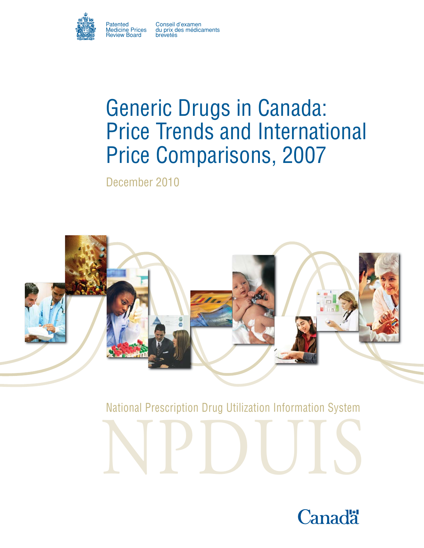

Patented Conseil d'examen Medicine Prices du prix des médicaments

# Generic Drugs in Canada: Price Trends and International Price Comparisons, 2007

December 2010



National Prescription Drug Utilization Information System

NPDUIS

**Canadä**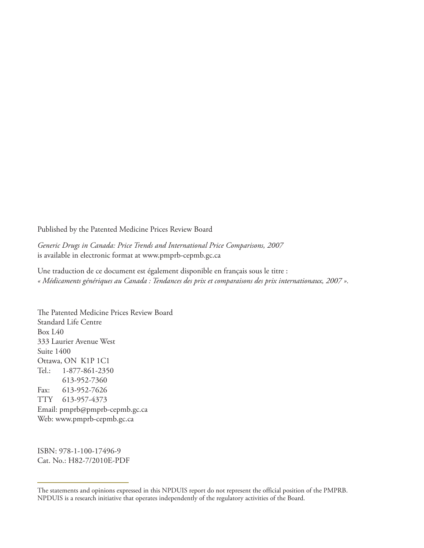Published by the Patented Medicine Prices Review Board

*Generic Drugs in Canada: Price Trends and International Price Comparisons, 2007* is available in electronic format at www.pmprb-cepmb.gc.ca

Une traduction de ce document est également disponible en français sous le titre : *« Médicaments génériques au Canada : Tendances des prix et comparaisons des prix internationaux, 2007 ».*

The Patented Medicine Prices Review Board Standard Life Centre Box L40 333 Laurier Avenue West Suite 1400 Ottawa, ON K1P 1C1 Tel.: 1-877-861-2350 613-952-7360 Fax: 613-952-7626 TTY 613-957-4373 Email: pmprb@pmprb-cepmb.gc.ca Web: www.pmprb-cepmb.gc.ca

ISBN: 978-1-100-17496-9 Cat. No.: H82-7/2010E-PDF

The statements and opinions expressed in this NPDUIS report do not represent the official position of the PMPRB. NPDUIS is a research initiative that operates independently of the regulatory activities of the Board.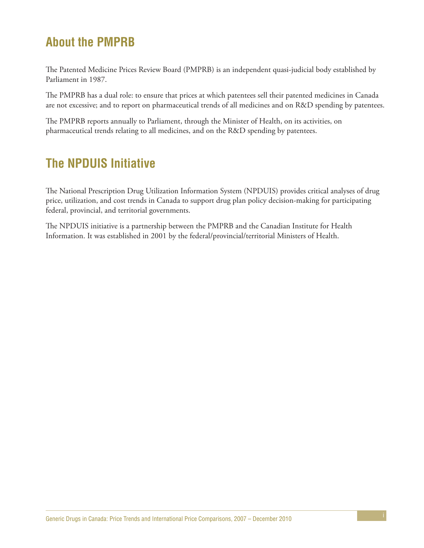# **About the PMPRB**

The Patented Medicine Prices Review Board (PMPRB) is an independent quasi-judicial body established by Parliament in 1987.

The PMPRB has a dual role: to ensure that prices at which patentees sell their patented medicines in Canada are not excessive; and to report on pharmaceutical trends of all medicines and on R&D spending by patentees.

The PMPRB reports annually to Parliament, through the Minister of Health, on its activities, on pharmaceutical trends relating to all medicines, and on the R&D spending by patentees.

# **The NPDUIS Initiative**

The National Prescription Drug Utilization Information System (NPDUIS) provides critical analyses of drug price, utilization, and cost trends in Canada to support drug plan policy decision-making for participating federal, provincial, and territorial governments.

The NPDUIS initiative is a partnership between the PMPRB and the Canadian Institute for Health Information. It was established in 2001 by the federal/provincial/territorial Ministers of Health.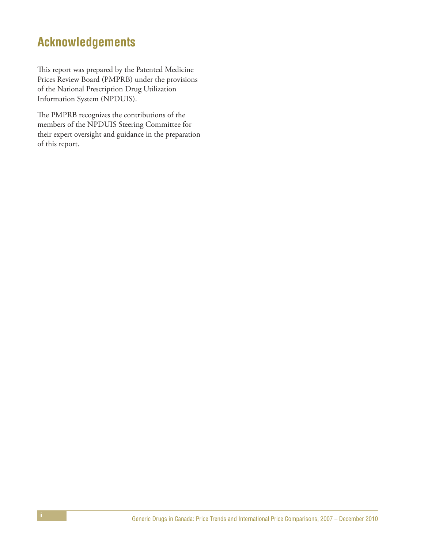### **Acknowledgements**

This report was prepared by the Patented Medicine Prices Review Board (PMPRB) under the provisions of the National Prescription Drug Utilization Information System (NPDUIS).

The PMPRB recognizes the contributions of the members of the NPDUIS Steering Committee for their expert oversight and guidance in the preparation of this report.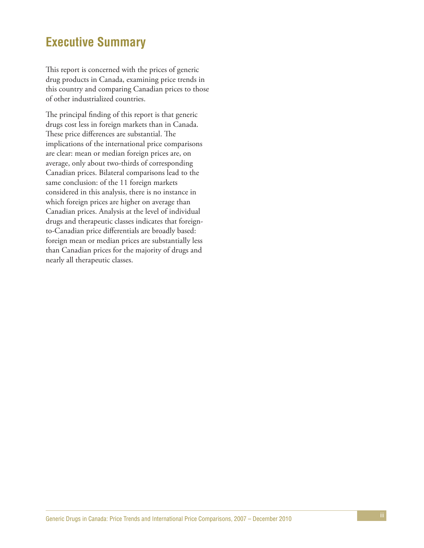### **Executive Summary**

This report is concerned with the prices of generic drug products in Canada, examining price trends in this country and comparing Canadian prices to those of other industrialized countries.

The principal finding of this report is that generic drugs cost less in foreign markets than in Canada. These price differences are substantial. The implications of the international price comparisons are clear: mean or median foreign prices are, on average, only about two-thirds of corresponding Canadian prices. Bilateral comparisons lead to the same conclusion: of the 11 foreign markets considered in this analysis, there is no instance in which foreign prices are higher on average than Canadian prices. Analysis at the level of individual drugs and therapeutic classes indicates that foreignto-Canadian price differentials are broadly based: foreign mean or median prices are substantially less than Canadian prices for the majority of drugs and nearly all therapeutic classes.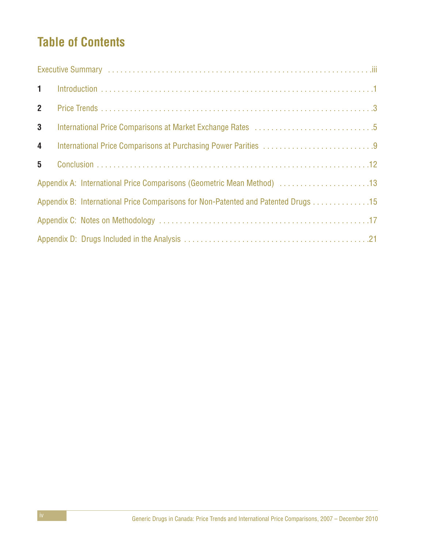# **Table of Contents**

| 1               |                                                                                    |
|-----------------|------------------------------------------------------------------------------------|
| $2^{\circ}$     |                                                                                    |
| $3\phantom{.0}$ |                                                                                    |
| $\overline{4}$  |                                                                                    |
| 5 <sup>1</sup>  |                                                                                    |
|                 | Appendix A: International Price Comparisons (Geometric Mean Method) 13             |
|                 | Appendix B: International Price Comparisons for Non-Patented and Patented Drugs 15 |
|                 |                                                                                    |
|                 |                                                                                    |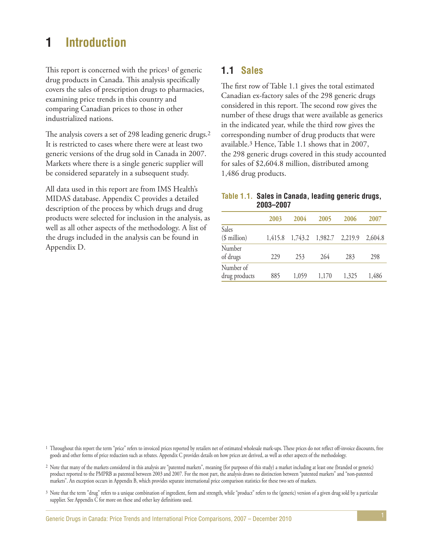## **1 Introduction**

This report is concerned with the prices<sup>1</sup> of generic drug products in Canada. This analysis specifically covers the sales of prescription drugs to pharmacies, examining price trends in this country and comparing Canadian prices to those in other industrialized nations.

The analysis covers a set of 298 leading generic drugs.2 It is restricted to cases where there were at least two generic versions of the drug sold in Canada in 2007. Markets where there is a single generic supplier will be considered separately in a subsequent study.

All data used in this report are from IMS Health's MIDAS database. Appendix C provides a detailed description of the process by which drugs and drug products were selected for inclusion in the analysis, as well as all other aspects of the methodology. A list of the drugs included in the analysis can be found in Appendix D.

### **1.1 Sales**

The first row of Table 1.1 gives the total estimated Canadian ex-factory sales of the 298 generic drugs considered in this report. The second row gives the number of these drugs that were available as generics in the indicated year, while the third row gives the corresponding number of drug products that were available.3 Hence, Table 1.1 shows that in 2007, the 298 generic drugs covered in this study accounted for sales of \$2,604.8 million, distributed among 1,486 drug products.

#### **Table 1.1. Sales in Canada, leading generic drugs, 2003–2007**

|                            | 2003    | 2004  | 2005                    | 2006  | 2007    |
|----------------------------|---------|-------|-------------------------|-------|---------|
| Sales<br>(\$ million)      | 1,415.8 |       | 1,743.2 1,982.7 2,219.9 |       | 2.604.8 |
| Number<br>of drugs         | 229     | 253   | 264                     | 283   | 298     |
| Number of<br>drug products | 885     | 1,059 | 1,170                   | 1,325 | 1,486   |

<sup>1</sup> Throughout this report the term "price" refers to invoiced prices reported by retailers net of estimated wholesale mark-ups. These prices do not reflect off-invoice discounts, free goods and other forms of price reduction such as rebates. Appendix C provides details on how prices are derived, as well as other aspects of the methodology.

2 Note that many of the markets considered in this analysis are "patented markets", meaning (for purposes of this study) a market including at least one (branded or generic) product reported to the PMPRB as patented between 2003 and 2007. For the most part, the analysis draws no distinction between "patented markets" and "non-patented markets". An exception occurs in Appendix B, which provides separate international price comparison statistics for these two sets of markets.

<sup>3</sup> Note that the term "drug" refers to a unique combination of ingredient, form and strength, while "product" refers to the (generic) version of a given drug sold by a particular supplier. See Appendix C for more on these and other key definitions used.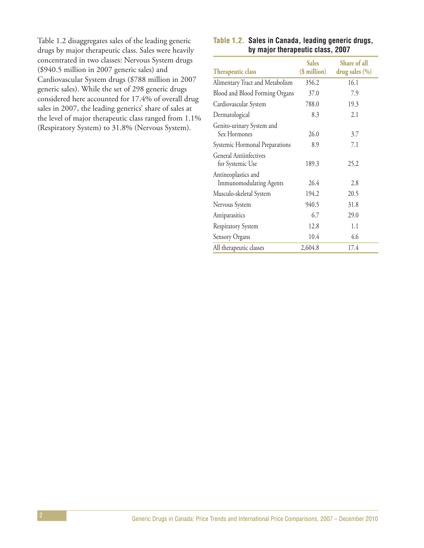Table 1.2 disaggregates sales of the leading generic drugs by major therapeutic class. Sales were heavily concentrated in two classes: Nervous System drugs (\$940.5 million in 2007 generic sales) and Cardiovascular System drugs (\$788 million in 2007 generic sales). While the set of 298 generic drugs considered here accounted for 17.4% of overall drug sales in 2007, the leading generics' share of sales at the level of major therapeutic class ranged from 1.1% (Respiratory System) to 31.8% (Nervous System).

#### **Table 1.2. Sales in Canada, leading generic drugs, by major therapeutic class, 2007**

| <b>Therapeutic class</b>                              | <b>Sales</b><br>$$$ million) | <b>Share of all</b><br>drug sales $(\% )$ |
|-------------------------------------------------------|------------------------------|-------------------------------------------|
| Alimentary Tract and Metabolism                       | 356.2                        | 16.1                                      |
| Blood and Blood Forming Organs                        | 37.0                         | 7.9                                       |
| Cardiovascular System                                 | 788.0                        | 19.3                                      |
| Dermatological                                        | 8.3                          | 2.1                                       |
| Genito-urinary System and<br>Sex Hormones             | 26.0                         | 3.7                                       |
| Systemic Hormonal Preparations                        | 8.9                          | 7.1                                       |
| <b>General Antiinfectives</b><br>for Systemic Use     | 189.3                        | 25.2                                      |
| Antineoplastics and<br><b>Immunomodulating Agents</b> | 26.4                         | 2.8                                       |
| Musculo-skeletal System                               | 194.2                        | 20.5                                      |
| Nervous System                                        | 940.5                        | 31.8                                      |
| Antiparasitics                                        | 6.7                          | 29.0                                      |
| <b>Respiratory System</b>                             | 12.8                         | 1.1                                       |
| Sensory Organs                                        | 10.4                         | 4.6                                       |
| All therapeutic classes                               | 2,604.8                      | 17.4                                      |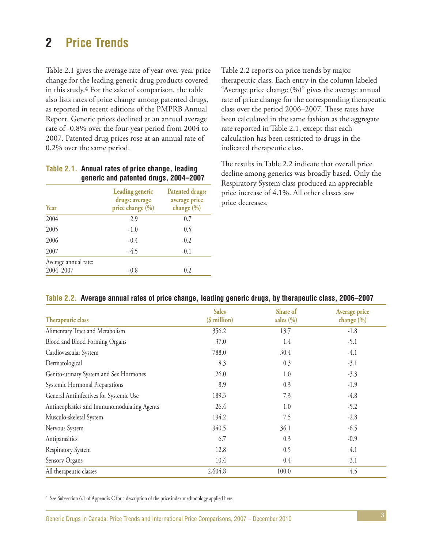### **2 Price Trends**

Table 2.1 gives the average rate of year-over-year price change for the leading generic drug products covered in this study.4 For the sake of comparison, the table also lists rates of price change among patented drugs, as reported in recent editions of the PMPRB Annual Report. Generic prices declined at an annual average rate of -0.8% over the four-year period from 2004 to 2007. Patented drug prices rose at an annual rate of 0.2% over the same period.

**Table 2.1. Annual rates of price change, leading generic and patented drugs, 2004–2007**

| Year                              | <b>Leading generic</b><br>drugs: average<br>price change (%) | <b>Patented drugs:</b><br>average price<br>change (%) |
|-----------------------------------|--------------------------------------------------------------|-------------------------------------------------------|
| 2004                              | 2.9                                                          | 0.7                                                   |
| 2005                              | $-1.0$                                                       | 0.5                                                   |
| 2006                              | $-0.4$                                                       | $-0.2$                                                |
| 2007                              | $-4.5$                                                       | $-0.1$                                                |
| Average annual rate:<br>2004-2007 | $-0.8$                                                       | 0.2                                                   |

Table 2.2 reports on price trends by major therapeutic class. Each entry in the column labeled "Average price change (%)" gives the average annual rate of price change for the corresponding therapeutic class over the period 2006–2007. These rates have been calculated in the same fashion as the aggregate rate reported in Table 2.1, except that each calculation has been restricted to drugs in the indicated therapeutic class.

The results in Table 2.2 indicate that overall price decline among generics was broadly based. Only the Respiratory System class produced an appreciable price increase of 4.1%. All other classes saw price decreases.

| Therapeutic class                           | <b>Sales</b><br>$(sinlilon)$ | <b>Share of</b><br>sales $(\% )$ | Average price<br>change $(\% )$ |
|---------------------------------------------|------------------------------|----------------------------------|---------------------------------|
| Alimentary Tract and Metabolism             | 356.2                        | 13.7                             | $-1.8$                          |
| Blood and Blood Forming Organs              | 37.0                         | 1.4                              | $-5.1$                          |
| Cardiovascular System                       | 788.0                        | 30.4                             | $-4.1$                          |
| Dermatological                              | 8.3                          | 0.3                              | $-3.1$                          |
| Genito-urinary System and Sex Hormones      | 26.0                         | 1.0                              | $-3.3$                          |
| Systemic Hormonal Preparations              | 8.9                          | 0.3                              | $-1.9$                          |
| General Antiinfectives for Systemic Use     | 189.3                        | 7.3                              | $-4.8$                          |
| Antineoplastics and Immunomodulating Agents | 26.4                         | 1.0                              | $-5.2$                          |
| Musculo-skeletal System                     | 194.2                        | 7.5                              | $-2.8$                          |
| Nervous System                              | 940.5                        | 36.1                             | $-6.5$                          |
| Antiparasitics                              | 6.7                          | 0.3                              | $-0.9$                          |
| <b>Respiratory System</b>                   | 12.8                         | 0.5                              | 4.1                             |
| Sensory Organs                              | 10.4                         | 0.4                              | $-3.1$                          |
| All therapeutic classes                     | 2,604.8                      | 100.0                            | $-4.5$                          |

#### **Table 2.2. Average annual rates of price change, leading generic drugs, by therapeutic class, 2006–2007**

4 See Subsection 6.1 of Appendix C for a description of the price index methodology applied here.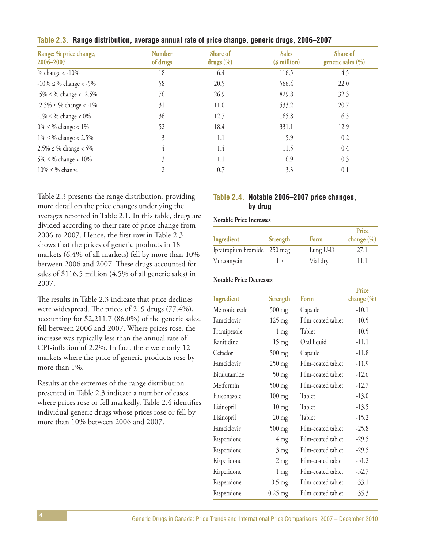| Range: % price change,<br>2006-2007 | <b>Number</b><br>of drugs | <b>Share of</b><br>drugs(%) | <b>Sales</b><br>$(sinlilon)$ | Share of<br>generic sales (%) |
|-------------------------------------|---------------------------|-----------------------------|------------------------------|-------------------------------|
| $% change < -10\%$                  | 18                        | 6.4                         | 116.5                        | 4.5                           |
| $-10\% \leq \%$ change < $-5\%$     | 58                        | 20.5                        | 566.4                        | 22.0                          |
| $-5\% \leq$ % change < $-2.5\%$     | 76                        | 26.9                        | 829.8                        | 32.3                          |
| $-2.5\% \leq \%$ change < $-1\%$    | 31                        | 11.0                        | 533.2                        | 20.7                          |
| $-1\% \leq \%$ change < 0%          | 36                        | 12.7                        | 165.8                        | 6.5                           |
| $0\% \leq \%$ change < 1%           | 52                        | 18.4                        | 331.1                        | 12.9                          |
| $1\% \leq \%$ change < 2.5%         | 3                         | 1.1                         | 5.9                          | 0.2                           |
| $2.5\% \leq \%$ change < 5%         | 4                         | 1.4                         | 11.5                         | 0.4                           |
| $5\% \leq \%$ change < 10%          | 3                         | 1.1                         | 6.9                          | 0.3                           |
| $10\% \leq \%$ change               | 2                         | 0.7                         | 3.3                          | 0.1                           |

#### **Table 2.3. Range distribution, average annual rate of price change, generic drugs, 2006–2007**

Table 2.3 presents the range distribution, providing more detail on the price changes underlying the averages reported in Table 2.1. In this table, drugs are divided according to their rate of price change from 2006 to 2007. Hence, the first row in Table 2.3 shows that the prices of generic products in 18 markets (6.4% of all markets) fell by more than 10% between 2006 and 2007. These drugs accounted for sales of \$116.5 million (4.5% of all generic sales) in 2007.

The results in Table 2.3 indicate that price declines were widespread. The prices of 219 drugs (77.4%), accounting for \$2,211.7 (86.0%) of the generic sales, fell between 2006 and 2007. Where prices rose, the increase was typically less than the annual rate of CPI-inflation of 2.2%. In fact, there were only 12 markets where the price of generic products rose by more than 1%.

Results at the extremes of the range distribution presented in Table 2.3 indicate a number of cases where prices rose or fell markedly. Table 2.4 identifies individual generic drugs whose prices rose or fell by more than 10% between 2006 and 2007.

#### **Table 2.4. Notable 2006–2007 price changes, by drug**

#### **Notable Price Increases**

|                             |          |          | Price          |
|-----------------------------|----------|----------|----------------|
| Ingredient                  | Strength | Form     | change $(\% )$ |
| Ipratropium bromide 250 mcg |          | Lung U-D | 27.1           |
| Vancomycin                  | Ιg       | Vial dry | 11.1           |

#### **Notable Price Decreases**

|               |                  |                    | Price      |
|---------------|------------------|--------------------|------------|
| Ingredient    | <b>Strength</b>  | Form               | change (%) |
| Metronidazole | $500$ mg         | Capsule            | $-10.1$    |
| Famciclovir   | $125 \text{ mg}$ | Film-coated tablet | $-10.5$    |
| Pramipexole   | $1 \text{ mg}$   | Tablet             | $-10.5$    |
| Ranitidine    | $15 \text{ mg}$  | Oral liquid        | $-11.1$    |
| Cefaclor      | $500$ mg         | Capsule            | $-11.8$    |
| Famciclovir   | $250$ mg         | Film-coated tablet | $-11.9$    |
| Bicalutamide  | $50$ mg          | Film-coated tablet | $-12.6$    |
| Metformin     | $500$ mg         | Film-coated tablet | $-12.7$    |
| Fluconazole   | 100 mg           | Tablet             | $-13.0$    |
| Lisinopril    | $10 \text{ mg}$  | Tablet             | $-13.5$    |
| Lisinopril    | $20 \text{ mg}$  | Tablet             | $-15.2$    |
| Famciclovir   | $500$ mg         | Film-coated tablet | $-25.8$    |
| Risperidone   | $4 \text{ mg}$   | Film-coated tablet | $-29.5$    |
| Risperidone   | $3 \text{ mg}$   | Film-coated tablet | $-29.5$    |
| Risperidone   | $2$ mg           | Film-coated tablet | $-31.2$    |
| Risperidone   | $1 \text{ mg}$   | Film-coated tablet | $-32.7$    |
| Risperidone   | $0.5 \text{ mg}$ | Film-coated tablet | $-33.1$    |
| Risperidone   | $0.25$ mg        | Film-coated tablet | $-35.3$    |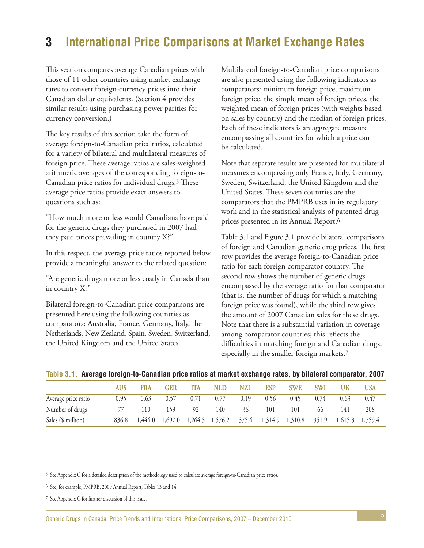# **3 International Price Comparisons at Market Exchange Rates**

This section compares average Canadian prices with those of 11 other countries using market exchange rates to convert foreign-currency prices into their Canadian dollar equivalents. (Section 4 provides similar results using purchasing power parities for currency conversion.)

The key results of this section take the form of average foreign-to-Canadian price ratios, calculated for a variety of bilateral and multilateral measures of foreign price. These average ratios are sales-weighted arithmetic averages of the corresponding foreign-to-Canadian price ratios for individual drugs.<sup>5</sup> These average price ratios provide exact answers to questions such as:

"How much more or less would Canadians have paid for the generic drugs they purchased in 2007 had they paid prices prevailing in country X?"

In this respect, the average price ratios reported below provide a meaningful answer to the related question:

"Are generic drugs more or less costly in Canada than in country X?"

Bilateral foreign-to-Canadian price comparisons are presented here using the following countries as comparators: Australia, France, Germany, Italy, the Netherlands, New Zealand, Spain, Sweden, Switzerland, the United Kingdom and the United States.

Multilateral foreign-to-Canadian price comparisons are also presented using the following indicators as comparators: minimum foreign price, maximum foreign price, the simple mean of foreign prices, the weighted mean of foreign prices (with weights based on sales by country) and the median of foreign prices. Each of these indicators is an aggregate measure encompassing all countries for which a price can be calculated.

Note that separate results are presented for multilateral measures encompassing only France, Italy, Germany, Sweden, Switzerland, the United Kingdom and the United States. These seven countries are the comparators that the PMPRB uses in its regulatory work and in the statistical analysis of patented drug prices presented in its Annual Report.6

Table 3.1 and Figure 3.1 provide bilateral comparisons of foreign and Canadian generic drug prices. The first row provides the average foreign-to-Canadian price ratio for each foreign comparator country. The second row shows the number of generic drugs encompassed by the average ratio for that comparator (that is, the number of drugs for which a matching foreign price was found), while the third row gives the amount of 2007 Canadian sales for these drugs. Note that there is a substantial variation in coverage among comparator countries; this reflects the difficulties in matching foreign and Canadian drugs, especially in the smaller foreign markets.7

|                     | <b>AUS</b> | <b>FRA</b> | <b>GER</b> | <b>UTA</b> | <b>NLD</b>                      | <b>NZL</b> | <b>ESP</b>                  | <b>SWE</b> | <b>SWI</b> | UK   | USA             |
|---------------------|------------|------------|------------|------------|---------------------------------|------------|-----------------------------|------------|------------|------|-----------------|
| Average price ratio | 0.95       | 0.63       | 0.57       | 0.71       | 0.77                            | 0.19       | 0.56                        | 0.45       | 0.74       | 0.63 | 0.47            |
| Number of drugs     |            | 110        | 159        | 92         | 140                             | 36         | 101                         | 101        | 66         | 141  | 208             |
| Sales (\$ million)  | 836.8      |            |            |            | 1,446.0 1,697.0 1,264.5 1,576.2 |            | 375.6 1,314.9 1,310.8 951.9 |            |            |      | 1,615.3 1,759.4 |

#### **Table 3.1. Average foreign-to-Canadian price ratios at market exchange rates, by bilateral comparator, 2007**

5 See Appendix C for a detailed description of the methodology used to calculate average foreign-to-Canadian price ratios.

6 See, for example, PMPRB, 2009 Annual Report, Tables 13 and 14.

7 See Appendix C for further discussion of this issue.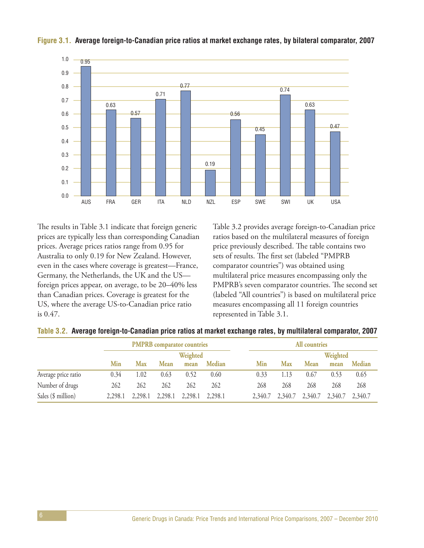

**Figure 3.1. Average foreign-to-Canadian price ratios at market exchange rates, by bilateral comparator, 2007**

The results in Table 3.1 indicate that foreign generic prices are typically less than corresponding Canadian prices. Average prices ratios range from 0.95 for Australia to only 0.19 for New Zealand. However, even in the cases where coverage is greatest—France, Germany, the Netherlands, the UK and the US foreign prices appear, on average, to be 20–40% less than Canadian prices. Coverage is greatest for the US, where the average US-to-Canadian price ratio is 0.47.

Table 3.2 provides average foreign-to-Canadian price ratios based on the multilateral measures of foreign price previously described. The table contains two sets of results. The first set (labeled "PMPRB comparator countries") was obtained using multilateral price measures encompassing only the PMPRB's seven comparator countries. The second set (labeled "All countries") is based on multilateral price measures encompassing all 11 foreign countries represented in Table 3.1.

|                     |         | <b>PMPRB</b> comparator countries |             |         |               |         |         | <b>All countries</b> |          |         |
|---------------------|---------|-----------------------------------|-------------|---------|---------------|---------|---------|----------------------|----------|---------|
|                     |         | Weighted                          |             |         |               |         |         |                      | Weighted |         |
|                     | Min     | Max                               | <b>Mean</b> | mean    | <b>Median</b> | Min     | Max     | <b>Mean</b>          | mean     | Median  |
| Average price ratio | 0.34    | 1.02                              | 0.63        | 0.52    | 0.60          | 0.33    | 1.13    | 0.67                 | 0.53     | 0.65    |
| Number of drugs     | 262     | 262                               | 262         | 262     | 262           | 268     | 268     | 268                  | 268      | 268     |
| Sales (\$ million)  | 2,298.1 | 2,298.1                           | 2,298.1     | 2,298.1 | 2,298.1       | 2,340.7 | 2,340.7 | 2,340.7              | 2,340.7  | 2,340.7 |

**Table 3.2. Average foreign-to-Canadian price ratios at market exchange rates, by multilateral comparator, 2007**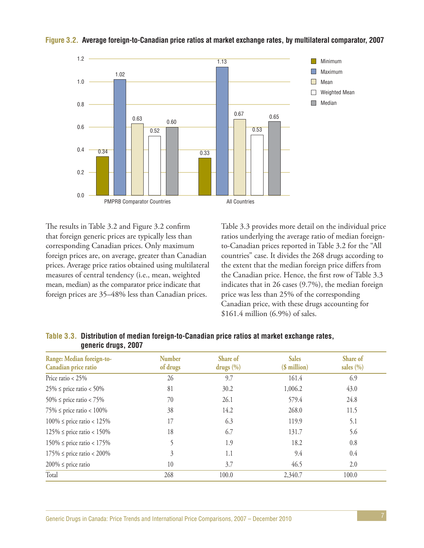

#### **Figure 3.2. Average foreign-to-Canadian price ratios at market exchange rates, by multilateral comparator, 2007**

The results in Table 3.2 and Figure 3.2 confirm that foreign generic prices are typically less than corresponding Canadian prices. Only maximum foreign prices are, on average, greater than Canadian prices. Average price ratios obtained using multilateral measures of central tendency (i.e., mean, weighted mean, median) as the comparator price indicate that foreign prices are 35–48% less than Canadian prices.

Table 3.3 provides more detail on the individual price ratios underlying the average ratio of median foreignto-Canadian prices reported in Table 3.2 for the "All countries" case. It divides the 268 drugs according to the extent that the median foreign price differs from the Canadian price. Hence, the first row of Table 3.3 indicates that in 26 cases (9.7%), the median foreign price was less than 25% of the corresponding Canadian price, with these drugs accounting for \$161.4 million (6.9%) of sales.

| Table 3.3. Distribution of median foreign-to-Canadian price ratios at market exchange rates, |
|----------------------------------------------------------------------------------------------|
| generic drugs, 2007                                                                          |

| Range: Median foreign-to-<br>Canadian price ratio | <b>Number</b><br>of drugs | Share of<br>drugs(%) | <b>Sales</b><br>( <b>9</b> million) | Share of<br>sales $(\% )$ |
|---------------------------------------------------|---------------------------|----------------------|-------------------------------------|---------------------------|
| Price ratio $<$ 25%                               | 26                        | 9.7                  | 161.4                               | 6.9                       |
| $25\% \le$ price ratio < 50%                      | 81                        | 30.2                 | 1,006.2                             | 43.0                      |
| 50% $\le$ price ratio $<$ 75%                     | 70                        | 26.1                 | 579.4                               | 24.8                      |
| 75% $\le$ price ratio $<$ 100%                    | 38                        | 14.2                 | 268.0                               | 11.5                      |
| $100\% \le$ price ratio < 125%                    | 17                        | 6.3                  | 119.9                               | 5.1                       |
| $125\% \le$ price ratio < 150%                    | 18                        | 6.7                  | 131.7                               | 5.6                       |
| $150\% \le$ price ratio < 175%                    |                           | 1.9                  | 18.2                                | 0.8                       |
| $175\% \le$ price ratio < 200%                    | 3                         | 1.1                  | 9.4                                 | 0.4                       |
| $200\% \le$ price ratio                           | 10                        | 3.7                  | 46.5                                | 2.0                       |
| Total                                             | 268                       | 100.0                | 2,340.7                             | 100.0                     |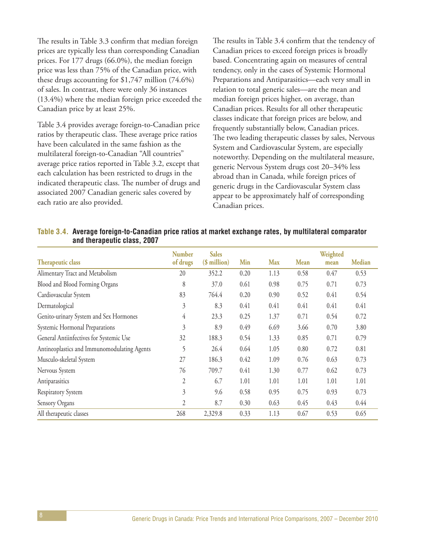The results in Table 3.3 confirm that median foreign prices are typically less than corresponding Canadian prices. For 177 drugs (66.0%), the median foreign price was less than 75% of the Canadian price, with these drugs accounting for \$1,747 million (74.6%) of sales. In contrast, there were only 36 instances (13.4%) where the median foreign price exceeded the Canadian price by at least 25%.

Table 3.4 provides average foreign-to-Canadian price ratios by therapeutic class. These average price ratios have been calculated in the same fashion as the multilateral foreign-to-Canadian "All countries" average price ratios reported in Table 3.2, except that each calculation has been restricted to drugs in the indicated therapeutic class. The number of drugs and associated 2007 Canadian generic sales covered by each ratio are also provided.

The results in Table 3.4 confirm that the tendency of Canadian prices to exceed foreign prices is broadly based. Concentrating again on measures of central tendency, only in the cases of Systemic Hormonal Preparations and Antiparasitics—each very small in relation to total generic sales—are the mean and median foreign prices higher, on average, than Canadian prices. Results for all other therapeutic classes indicate that foreign prices are below, and frequently substantially below, Canadian prices. The two leading therapeutic classes by sales, Nervous System and Cardiovascular System, are especially noteworthy. Depending on the multilateral measure, generic Nervous System drugs cost 20–34% less abroad than in Canada, while foreign prices of generic drugs in the Cardiovascular System class appear to be approximately half of corresponding Canadian prices.

|                                             | <b>Number</b>  | <b>Sales</b> |            |            |             | Weighted |               |
|---------------------------------------------|----------------|--------------|------------|------------|-------------|----------|---------------|
| Therapeutic class                           | of drugs       | (\$ million) | <b>Min</b> | <b>Max</b> | <b>Mean</b> | mean     | <b>Median</b> |
| Alimentary Tract and Metabolism             | 20             | 352.2        | 0.20       | 1.13       | 0.58        | 0.47     | 0.53          |
| Blood and Blood Forming Organs              | 8              | 37.0         | 0.61       | 0.98       | 0.75        | 0.71     | 0.73          |
| Cardiovascular System                       | 83             | 764.4        | 0.20       | 0.90       | 0.52        | 0.41     | 0.54          |
| Dermatological                              | $\mathfrak{Z}$ | 8.3          | 0.41       | 0.41       | 0.41        | 0.41     | 0.41          |
| Genito-urinary System and Sex Hormones      | $\overline{4}$ | 23.3         | 0.25       | 1.37       | 0.71        | 0.54     | 0.72          |
| Systemic Hormonal Preparations              | $\mathfrak{Z}$ | 8.9          | 0.49       | 6.69       | 3.66        | 0.70     | 3.80          |
| General Antiinfectives for Systemic Use     | 32             | 188.3        | 0.54       | 1.33       | 0.85        | 0.71     | 0.79          |
| Antineoplastics and Immunomodulating Agents | 5              | 26.4         | 0.64       | 1.05       | 0.80        | 0.72     | 0.81          |
| Musculo-skeletal System                     | 27             | 186.3        | 0.42       | 1.09       | 0.76        | 0.63     | 0.73          |
| Nervous System                              | 76             | 709.7        | 0.41       | 1.30       | 0.77        | 0.62     | 0.73          |
| Antiparasitics                              | $\overline{2}$ | 6.7          | 1.01       | 1.01       | 1.01        | 1.01     | 1.01          |
| Respiratory System                          | $\mathfrak{Z}$ | 9.6          | 0.58       | 0.95       | 0.75        | 0.93     | 0.73          |
| Sensory Organs                              | $\mathfrak{2}$ | 8.7          | 0.30       | 0.63       | 0.45        | 0.43     | 0.44          |
| All therapeutic classes                     | 268            | 2,329.8      | 0.33       | 1.13       | 0.67        | 0.53     | 0.65          |

| Table 3.4. Average foreign-to-Canadian price ratios at market exchange rates, by multilateral comparator |  |  |
|----------------------------------------------------------------------------------------------------------|--|--|
| and therapeutic class, 2007                                                                              |  |  |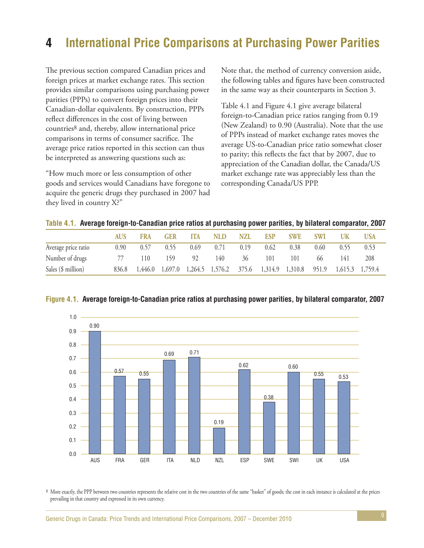## **4 International Price Comparisons at Purchasing Power Parities**

The previous section compared Canadian prices and foreign prices at market exchange rates. This section provides similar comparisons using purchasing power parities (PPPs) to convert foreign prices into their Canadian-dollar equivalents. By construction, PPPs reflect differences in the cost of living between countries8 and, thereby, allow international price comparisons in terms of consumer sacrifice. The average price ratios reported in this section can thus be interpreted as answering questions such as:

"How much more or less consumption of other goods and services would Canadians have foregone to acquire the generic drugs they purchased in 2007 had they lived in country X?"

Note that, the method of currency conversion aside, the following tables and figures have been constructed in the same way as their counterparts in Section 3.

Table 4.1 and Figure 4.1 give average bilateral foreign-to-Canadian price ratios ranging from 0.19 (New Zealand) to 0.90 (Australia). Note that the use of PPPs instead of market exchange rates moves the average US-to-Canadian price ratio somewhat closer to parity; this reflects the fact that by 2007, due to appreciation of the Canadian dollar, the Canada/US market exchange rate was appreciably less than the corresponding Canada/US PPP.

| Table 4.1. Average foreign-to-Canadian price ratios at purchasing power parities, by bilateral comparator, 2007 |  |  |  |  |  |  |
|-----------------------------------------------------------------------------------------------------------------|--|--|--|--|--|--|
|                                                                                                                 |  |  |  |  |  |  |

|                     | <b>AUS</b> | <b>FRA</b> | <b>GER</b>      | ITA  | <b>NLD</b>      | <b>NZL</b> | <b>ESP</b>            | <b>SWE</b> | SWI   | UK              | <b>USA</b> |
|---------------------|------------|------------|-----------------|------|-----------------|------------|-----------------------|------------|-------|-----------------|------------|
| Average price ratio | 0.90       | 0.57       | 0.55            | 0.69 | 0.71            | 0.19       | 0.62                  | 0.38       | 0.60  | 0.55            | 0.53       |
| Number of drugs     |            | 110        | 159             | 92   | 140             | 36         | 101                   | 101        | 66    | 141             | 208        |
| Sales (\$ million)  | 836.8      |            | 1,446.0 1,697.0 |      | 1,264.5 1,576.2 |            | 375.6 1,314.9 1,310.8 |            | 951.9 | 1,615.3 1,759.4 |            |



#### **Figure 4.1. Average foreign-to-Canadian price ratios at purchasing power parities, by bilateral comparator, 2007**

8 More exactly, the PPP between two countries represents the relative cost in the two countries of the same "basket" of goods; the cost in each instance is calculated at the prices prevailing in that country and expressed in its own currency.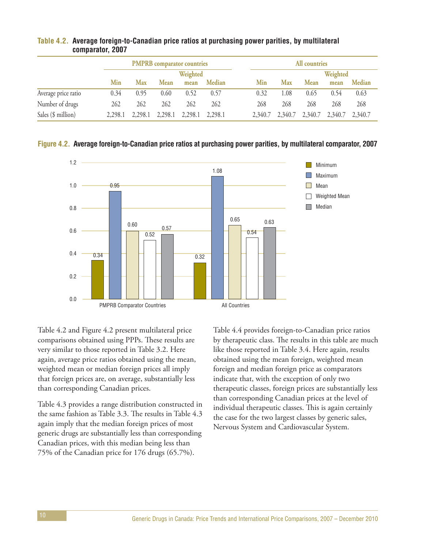|                     |         |          | <b>PMPRB</b> comparator countries |         |               |  | All countries |          |             |         |         |  |
|---------------------|---------|----------|-----------------------------------|---------|---------------|--|---------------|----------|-------------|---------|---------|--|
|                     |         | Weighted |                                   |         |               |  |               | Weighted |             |         |         |  |
|                     | Min     | Max      | <b>Mean</b>                       | mean    | <b>Median</b> |  | Min           | Max      | <b>Mean</b> | mean    | Median  |  |
| Average price ratio | 0.34    | 0.95     | 0.60                              | 0.52    | 0.57          |  | 0.32          | 1.08     | 0.65        | 0.54    | 0.63    |  |
| Number of drugs     | 262     | 262      | 262                               | 262     | 262           |  | 268           | 268      | 268         | 268     | 268     |  |
| Sales (\$ million)  | 2,298.1 | 2,298.1  | 2,298.1                           | 2,298.1 | 2.298.1       |  | 2,340.7       | 2,340.7  | 2,340.7     | 2,340.7 | 2,340.7 |  |

#### **Table 4.2. Average foreign-to-Canadian price ratios at purchasing power parities, by multilateral comparator, 2007**

**Figure 4.2. Average foreign-to-Canadian price ratios at purchasing power parities, by multilateral comparator, 2007**



Table 4.2 and Figure 4.2 present multilateral price comparisons obtained using PPPs. These results are very similar to those reported in Table 3.2. Here again, average price ratios obtained using the mean, weighted mean or median foreign prices all imply that foreign prices are, on average, substantially less than corresponding Canadian prices.

Table 4.3 provides a range distribution constructed in the same fashion as Table 3.3. The results in Table 4.3 again imply that the median foreign prices of most generic drugs are substantially less than corresponding Canadian prices, with this median being less than 75% of the Canadian price for 176 drugs (65.7%).

Table 4.4 provides foreign-to-Canadian price ratios by therapeutic class. The results in this table are much like those reported in Table 3.4. Here again, results obtained using the mean foreign, weighted mean foreign and median foreign price as comparators indicate that, with the exception of only two therapeutic classes, foreign prices are substantially less than corresponding Canadian prices at the level of individual therapeutic classes. This is again certainly the case for the two largest classes by generic sales, Nervous System and Cardiovascular System.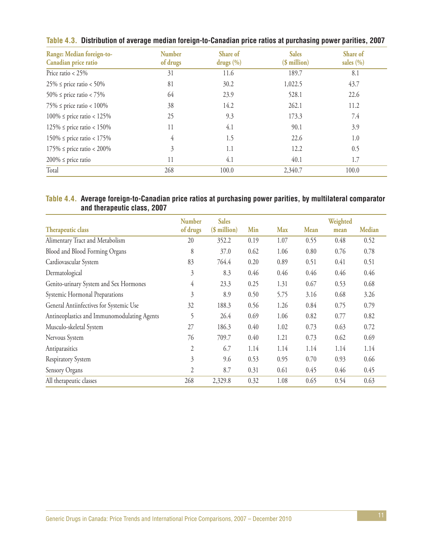| Range: Median foreign-to-<br>Canadian price ratio | <b>Number</b><br>of drugs | Share of<br>drugs(%) | <b>Sales</b><br>$$$ million) | Share of<br>sales $(\% )$ |
|---------------------------------------------------|---------------------------|----------------------|------------------------------|---------------------------|
| Price ratio $<$ 25%                               | 31                        | 11.6                 | 189.7                        | 8.1                       |
| $25\% \le$ price ratio < 50%                      | 81                        | 30.2                 | 1,022.5                      | 43.7                      |
| 50% $\le$ price ratio $<$ 75%                     | 64                        | 23.9                 | 528.1                        | 22.6                      |
| 75% $\le$ price ratio $<$ 100%                    | 38                        | 14.2                 | 262.1                        | 11.2                      |
| $100\% \le$ price ratio < 125%                    | 25                        | 9.3                  | 173.3                        | 7.4                       |
| $125\% \le$ price ratio < $150\%$                 | 11                        | 4.1                  | 90.1                         | 3.9                       |
| $150\% \le$ price ratio < $175\%$                 | 4                         | 1.5                  | 22.6                         | 1.0                       |
| $175\% \le$ price ratio < 200%                    | 3                         | 1.1                  | 12.2                         | 0.5                       |
| $200\% \le$ price ratio                           | 11                        | 4.1                  | 40.1                         | 1.7                       |
| Total                                             | 268                       | 100.0                | 2,340.7                      | 100.0                     |

**Table 4.3. Distribution of average median foreign-to-Canadian price ratios at purchasing power parities, 2007**

#### **Table 4.4. Average foreign-to-Canadian price ratios at purchasing power parities, by multilateral comparator and therapeutic class, 2007**

|                                             | <b>Number</b>  | <b>Sales</b> |      |            |             | Weighted |               |
|---------------------------------------------|----------------|--------------|------|------------|-------------|----------|---------------|
| Therapeutic class                           | of drugs       | (\$ million) | Min  | <b>Max</b> | <b>Mean</b> | mean     | <b>Median</b> |
| Alimentary Tract and Metabolism             | 20             | 352.2        | 0.19 | 1.07       | 0.55        | 0.48     | 0.52          |
| Blood and Blood Forming Organs              | 8              | 37.0         | 0.62 | 1.06       | 0.80        | 0.76     | 0.78          |
| Cardiovascular System                       | 83             | 764.4        | 0.20 | 0.89       | 0.51        | 0.41     | 0.51          |
| Dermatological                              | $\mathfrak{Z}$ | 8.3          | 0.46 | 0.46       | 0.46        | 0.46     | 0.46          |
| Genito-urinary System and Sex Hormones      | $\overline{4}$ | 23.3         | 0.25 | 1.31       | 0.67        | 0.53     | 0.68          |
| Systemic Hormonal Preparations              | $\mathfrak{Z}$ | 8.9          | 0.50 | 5.75       | 3.16        | 0.68     | 3.26          |
| General Antiinfectives for Systemic Use     | 32             | 188.3        | 0.56 | 1.26       | 0.84        | 0.75     | 0.79          |
| Antineoplastics and Immunomodulating Agents | 5              | 26.4         | 0.69 | 1.06       | 0.82        | 0.77     | 0.82          |
| Musculo-skeletal System                     | 27             | 186.3        | 0.40 | 1.02       | 0.73        | 0.63     | 0.72          |
| Nervous System                              | 76             | 709.7        | 0.40 | 1.21       | 0.73        | 0.62     | 0.69          |
| Antiparasitics                              | $\overline{2}$ | 6.7          | 1.14 | 1.14       | 1.14        | 1.14     | 1.14          |
| <b>Respiratory System</b>                   | $\mathfrak{Z}$ | 9.6          | 0.53 | 0.95       | 0.70        | 0.93     | 0.66          |
| Sensory Organs                              | $\overline{2}$ | 8.7          | 0.31 | 0.61       | 0.45        | 0.46     | 0.45          |
| All therapeutic classes                     | 268            | 2,329.8      | 0.32 | 1.08       | 0.65        | 0.54     | 0.63          |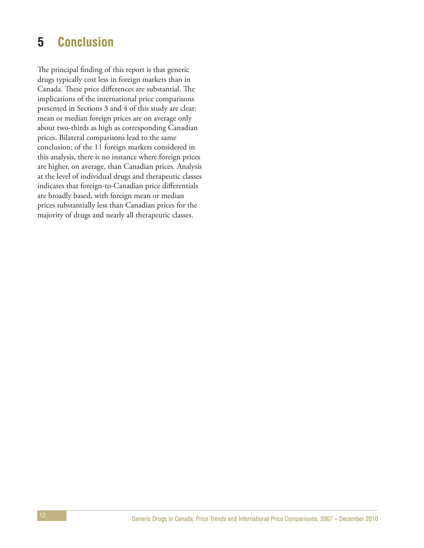# **5 Conclusion**

The principal finding of this report is that generic drugs typically cost less in foreign markets than in Canada. These price differences are substantial. The implications of the international price comparisons presented in Sections 3 and 4 of this study are clear: mean or median foreign prices are on average only about two-thirds as high as corresponding Canadian prices. Bilateral comparisons lead to the same conclusion: of the 11 foreign markets considered in this analysis, there is no instance where foreign prices are higher, on average, than Canadian prices. Analysis at the level of individual drugs and therapeutic classes indicates that foreign-to-Canadian price differentials are broadly based, with foreign mean or median prices substantially less than Canadian prices for the majority of drugs and nearly all therapeutic classes.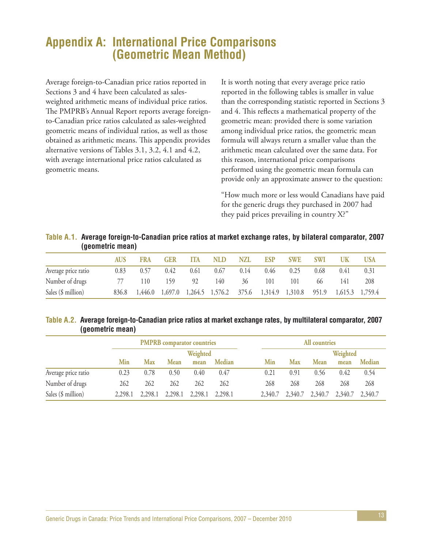### **Appendix A: International Price Comparisons (Geometric Mean Method)**

Average foreign-to-Canadian price ratios reported in Sections 3 and 4 have been calculated as salesweighted arithmetic means of individual price ratios. The PMPRB's Annual Report reports average foreignto-Canadian price ratios calculated as sales-weighted geometric means of individual ratios, as well as those obtained as arithmetic means. This appendix provides alternative versions of Tables 3.1, 3.2, 4.1 and 4.2, with average international price ratios calculated as geometric means.

It is worth noting that every average price ratio reported in the following tables is smaller in value than the corresponding statistic reported in Sections 3 and 4. This reflects a mathematical property of the geometric mean: provided there is some variation among individual price ratios, the geometric mean formula will always return a smaller value than the arithmetic mean calculated over the same data. For this reason, international price comparisons performed using the geometric mean formula can provide only an approximate answer to the question:

"How much more or less would Canadians have paid for the generic drugs they purchased in 2007 had they paid prices prevailing in country X?"

| Table A.1. Average foreign-to-Canadian price ratios at market exchange rates, by bilateral comparator, 2007 |
|-------------------------------------------------------------------------------------------------------------|
| (geometric mean)                                                                                            |

|                     | <b>AUS</b> | <b>FRA</b> | <b>GER</b> | ГIА  | <b>NLD</b>                      | <b>NZL</b> | <b>ESP</b>                  | <b>SWE</b> | SWI  | <b>UK</b>       | USA  |
|---------------------|------------|------------|------------|------|---------------------------------|------------|-----------------------------|------------|------|-----------------|------|
| Average price ratio | 0.83       | 0.57       | 0.42       | 0.61 | 0.67                            | 0.14       | 0.46                        | 0.25       | 0.68 | 0.41            | 0.31 |
| Number of drugs     |            | 110        | 159        | 92   | 140                             | 36         | 101                         | 101        | 66   | 141             | 208  |
| Sales (\$ million)  | 836.8      |            |            |      | 1,446.0 1,697.0 1,264.5 1,576.2 |            | 375.6 1,314.9 1,310.8 951.9 |            |      | 1,615.3 1,759.4 |      |

#### **Table A.2. Average foreign-to-Canadian price ratios at market exchange rates, by multilateral comparator, 2007 (geometric mean)**

|                     |         |          | <b>PMPRB</b> comparator countries |         |               |  | <b>All countries</b> |         |             |         |               |  |
|---------------------|---------|----------|-----------------------------------|---------|---------------|--|----------------------|---------|-------------|---------|---------------|--|
|                     |         | Weighted |                                   |         |               |  | Weighted             |         |             |         |               |  |
|                     | Min     | Max      | Mean                              | mean    | <b>Median</b> |  | Min                  | Max     | <b>Mean</b> | mean    | <b>Median</b> |  |
| Average price ratio | 0.23    | 0.78     | 0.50                              | 0.40    | 0.47          |  | 0.21                 | 0.91    | 0.56        | 0.42    | 0.54          |  |
| Number of drugs     | 262     | 262      | 262                               | 262     | 262           |  | 268                  | 268     | 268         | 268     | 268           |  |
| Sales (\$ million)  | 2,298.1 | 2,298.1  | 2,298.1                           | 2,298.1 | 2.298.1       |  | 2,340.7              | 2,340.7 | 2,340.7     | 2,340.7 | 2,340.7       |  |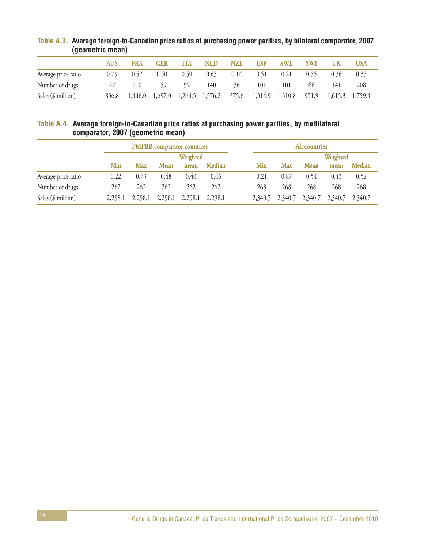| $\sim$              |            |            |            |            |            |      |                                                             |            |            |                 |            |
|---------------------|------------|------------|------------|------------|------------|------|-------------------------------------------------------------|------------|------------|-----------------|------------|
|                     | <b>AUS</b> | <b>FRA</b> | <b>GER</b> | <b>ITA</b> | <b>NLD</b> | NZL  | <b>ESP</b>                                                  | <b>SWE</b> | <b>SWI</b> | UK              | <b>USA</b> |
| Average price ratio | 0.79       | 0.52       | 0.40       | 0.59       | 0.63       | 0.14 | 0.51                                                        | 0.21       | 0.55       | 0.36            | 0.35       |
| Number of drugs     |            | 110        | 159        | 92         | 140        | 36   | 101                                                         | 101        | 66         | 141             | 208        |
| Sales (\$ million)  | 836.8      |            |            |            |            |      | 1,446.0 1,697.0 1,264.5 1,576.2 375.6 1,314.9 1,310.8 951.9 |            |            | 1,615.3 1,759.4 |            |

#### **Table A.3. Average foreign-to-Canadian price ratios at purchasing power parities, by bilateral comparator, 2007 (geometric mean)**

#### **Table A.4. Average foreign-to-Canadian price ratios at purchasing power parities, by multilateral comparator, 2007 (geometric mean)**

|                     |         | <b>PMPRB</b> comparator countries |             |         |         |  |          |         | <b>All countries</b> |         |               |  |  |  |
|---------------------|---------|-----------------------------------|-------------|---------|---------|--|----------|---------|----------------------|---------|---------------|--|--|--|
|                     |         | Weighted                          |             |         |         |  | Weighted |         |                      |         |               |  |  |  |
|                     | Min     | <b>Max</b>                        | <b>Mean</b> | mean    | Median  |  | Min      | Max     | <b>Mean</b>          | mean    | <b>Median</b> |  |  |  |
| Average price ratio | 0.22    | 0.73                              | 0.48        | 0.40    | 0.46    |  | 0.21     | 0.87    | 0.54                 | 0.43    | 0.52          |  |  |  |
| Number of drugs     | 262     | 262                               | 262         | 262     | 262     |  | 268      | 268     | 268                  | 268     | 268           |  |  |  |
| Sales (\$ million)  | 2,298.1 | 2,298.1                           | 2,298.1     | 2,298.1 | 2,298.1 |  | 2,340.7  | 2,340.7 | 2,340.7              | 2,340.7 | 2,340.7       |  |  |  |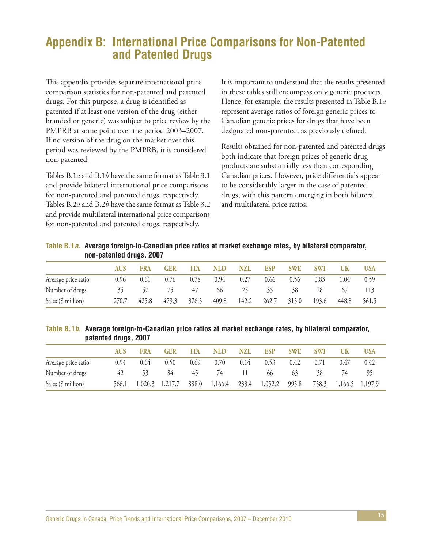### **Appendix B: International Price Comparisons for Non-Patented and Patented Drugs**

This appendix provides separate international price comparison statistics for non-patented and patented drugs. For this purpose, a drug is identified as patented if at least one version of the drug (either branded or generic) was subject to price review by the PMPRB at some point over the period 2003–2007. If no version of the drug on the market over this period was reviewed by the PMPRB, it is considered non-patented.

Tables B.1*a* and B.1*b* have the same format as Table 3.1 and provide bilateral international price comparisons for non-patented and patented drugs, respectively. Tables B.2*a* and B.2*b* have the same format as Table 3.2 and provide multilateral international price comparisons for non-patented and patented drugs, respectively.

It is important to understand that the results presented in these tables still encompass only generic products. Hence, for example, the results presented in Table B.1*a* represent average ratios of foreign generic prices to Canadian generic prices for drugs that have been designated non-patented, as previously defined.

Results obtained for non-patented and patented drugs both indicate that foreign prices of generic drug products are substantially less than corresponding Canadian prices. However, price differentials appear to be considerably larger in the case of patented drugs, with this pattern emerging in both bilateral and multilateral price ratios.

| non-patented drugs, 2007 |            |            |            |            |      |            |            |            |      |     |            |
|--------------------------|------------|------------|------------|------------|------|------------|------------|------------|------|-----|------------|
|                          | <b>AUS</b> | <b>FRA</b> | <b>GER</b> | <b>ITA</b> | NLD  | <b>NZL</b> | <b>ESP</b> | <b>SWE</b> | SWT  | UK  | <b>USA</b> |
| Average price ratio      | 0.96       | 0.61       | 0.76       | 0.78       | 0.94 | 0.27       | 0.66       | 0.56       | 0.83 | .04 | 0.59       |
| Number of drugs          | 35         | 57         | 75         | 47         | 66   | 25         | -35        | 38         | 28   | 67  |            |

Sales (\$ million) 270.7 425.8 479.3 376.5 409.8 142.2 262.7 315.0 193.6 448.8 561.5

# **Table B.1a. Average foreign-to-Canadian price ratios at market exchange rates, by bilateral comparator,**

#### **Table B.1b. Average foreign-to-Canadian price ratios at market exchange rates, by bilateral comparator, patented drugs, 2007**

|                     |       | <b>FRA</b> | <b>GER</b>          | ITA   | <b>NLD</b> | <b>NZL</b> | <b>ESP</b>                  | <b>SWE</b> | <b>SWI</b> | <b>UK</b>           | USA  |
|---------------------|-------|------------|---------------------|-------|------------|------------|-----------------------------|------------|------------|---------------------|------|
| Average price ratio | 0.94  | 0.64       | 0.50                | 0.69  | 0.70       | 0.14       | 0.53                        | 0.42       | 0.71       | 0.47                | 0.42 |
| Number of drugs     | 42    | 53         | 84                  | 45    | 74         | 11         | 66                          | 63         | 38         | 74                  | 95   |
| Sales (\$ million)  | 566.1 |            | $1,020.3$ $1,217.7$ | 888.0 |            |            | 1,166.4 233.4 1,052.2 995.8 |            | 758.3      | $1,166.5$ $1,197.9$ |      |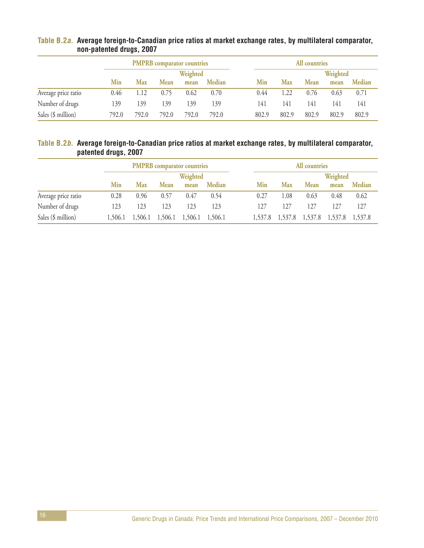#### **Table B.2a. Average foreign-to-Canadian price ratios at market exchange rates, by multilateral comparator, non-patented drugs, 2007**

|                     |       | <b>PMPRB</b> comparator countries |             |       |               |  | <b>All countries</b> |       |       |          |        |
|---------------------|-------|-----------------------------------|-------------|-------|---------------|--|----------------------|-------|-------|----------|--------|
|                     |       | Weighted                          |             |       |               |  |                      |       |       | Weighted |        |
|                     | Min   | Max                               | <b>Mean</b> | mean  | <b>Median</b> |  | Min                  | Max   | Mean  | mean     | Median |
| Average price ratio | 0.46  | l.12                              | 0.75        | 0.62  | 0.70          |  | 0.44                 | 1.22  | 0.76  | 0.63     | 0.71   |
| Number of drugs     | 139   | 139                               | 139         | 139   | 139           |  | 141                  | 141   | 141   | 141      | 141    |
| Sales (\$ million)  | 792.0 | 792.0                             | 792.0       | 792.0 | 792.0         |  | 802.9                | 802.9 | 802.9 | 802.9    | 802.9  |

#### **Table B.2b. Average foreign-to-Canadian price ratios at market exchange rates, by multilateral comparator, patented drugs, 2007**

|                     |         | <b>PMPRB</b> comparator countries |             |         |         |  | <b>All countries</b> |         |             |          |         |  |
|---------------------|---------|-----------------------------------|-------------|---------|---------|--|----------------------|---------|-------------|----------|---------|--|
|                     |         | Weighted                          |             |         |         |  |                      |         |             | Weighted |         |  |
|                     | Min     | <b>Max</b>                        | <b>Mean</b> | mean    | Median  |  | Min                  | Max     | <b>Mean</b> | mean     | Median  |  |
| Average price ratio | 0.28    | 0.96                              | 0.57        | 0.47    | 0.54    |  | 0.27                 | 1.08    | 0.63        | 0.48     | 0.62    |  |
| Number of drugs     | 123     | 123                               | 123         | 123     | 123     |  | 127                  | 127     | 127         | 127      | 127     |  |
| Sales (\$ million)  | 1,506.1 | 1,506.1                           | 1,506.1     | 1,506.1 | 1,506.1 |  | 1,537.8              | 1,537.8 | 1,537.8     | 1,537.8  | 1,537.8 |  |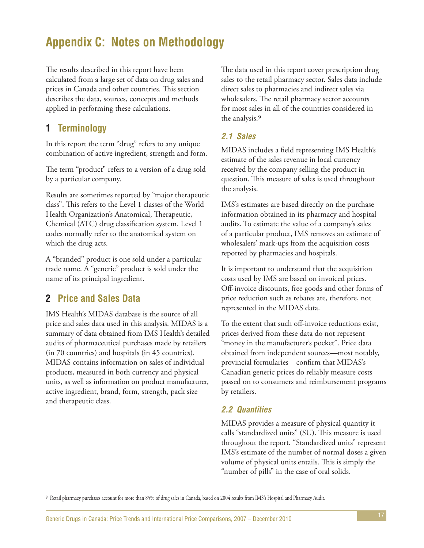# **Appendix C: Notes on Methodology**

The results described in this report have been calculated from a large set of data on drug sales and prices in Canada and other countries. This section describes the data, sources, concepts and methods applied in performing these calculations.

### **1 Terminology**

In this report the term "drug" refers to any unique combination of active ingredient, strength and form.

The term "product" refers to a version of a drug sold by a particular company.

Results are sometimes reported by "major therapeutic class". This refers to the Level 1 classes of the World Health Organization's Anatomical, Therapeutic, Chemical (ATC) drug classification system. Level 1 codes normally refer to the anatomical system on which the drug acts.

A "branded" product is one sold under a particular trade name. A "generic" product is sold under the name of its principal ingredient.

### **2 Price and Sales Data**

IMS Health's MIDAS database is the source of all price and sales data used in this analysis. MIDAS is a summary of data obtained from IMS Health's detailed audits of pharmaceutical purchases made by retailers (in 70 countries) and hospitals (in 45 countries). MIDAS contains information on sales of individual products, measured in both currency and physical units, as well as information on product manufacturer, active ingredient, brand, form, strength, pack size and therapeutic class.

The data used in this report cover prescription drug sales to the retail pharmacy sector. Sales data include direct sales to pharmacies and indirect sales via wholesalers. The retail pharmacy sector accounts for most sales in all of the countries considered in the analysis.9

### **2.1 Sales**

MIDAS includes a field representing IMS Health's estimate of the sales revenue in local currency received by the company selling the product in question. This measure of sales is used throughout the analysis.

IMS's estimates are based directly on the purchase information obtained in its pharmacy and hospital audits. To estimate the value of a company's sales of a particular product, IMS removes an estimate of wholesalers' mark-ups from the acquisition costs reported by pharmacies and hospitals.

It is important to understand that the acquisition costs used by IMS are based on invoiced prices. Off-invoice discounts, free goods and other forms of price reduction such as rebates are, therefore, not represented in the MIDAS data.

To the extent that such off-invoice reductions exist, prices derived from these data do not represent "money in the manufacturer's pocket". Price data obtained from independent sources—most notably, provincial formularies—confirm that MIDAS's Canadian generic prices do reliably measure costs passed on to consumers and reimbursement programs by retailers.

### **2.2 Quantities**

MIDAS provides a measure of physical quantity it calls "standardized units" (SU). This measure is used throughout the report. "Standardized units" represent IMS's estimate of the number of normal doses a given volume of physical units entails. This is simply the "number of pills" in the case of oral solids.

9 Retail pharmacy purchases account for more than 85% of drug sales in Canada, based on 2004 results from IMS's Hospital and Pharmacy Audit.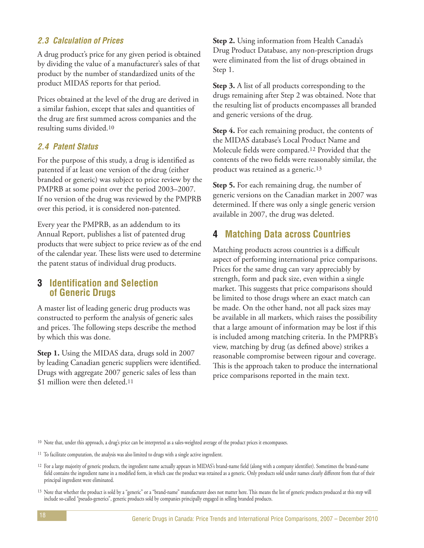#### **2.3 Calculation of Prices**

A drug product's price for any given period is obtained by dividing the value of a manufacturer's sales of that product by the number of standardized units of the product MIDAS reports for that period.

Prices obtained at the level of the drug are derived in a similar fashion, except that sales and quantities of the drug are first summed across companies and the resulting sums divided.10

#### **2.4 Patent Status**

For the purpose of this study, a drug is identified as patented if at least one version of the drug (either branded or generic) was subject to price review by the PMPRB at some point over the period 2003–2007. If no version of the drug was reviewed by the PMPRB over this period, it is considered non-patented.

Every year the PMPRB, as an addendum to its Annual Report, publishes a list of patented drug products that were subject to price review as of the end of the calendar year. These lists were used to determine the patent status of individual drug products.

### **3 Identification and Selection of Generic Drugs**

A master list of leading generic drug products was constructed to perform the analysis of generic sales and prices. The following steps describe the method by which this was done.

**Step 1.** Using the MIDAS data, drugs sold in 2007 by leading Canadian generic suppliers were identified. Drugs with aggregate 2007 generic sales of less than \$1 million were then deleted.<sup>11</sup>

**Step 2.** Using information from Health Canada's Drug Product Database, any non-prescription drugs were eliminated from the list of drugs obtained in Step 1.

**Step 3.** A list of all products corresponding to the drugs remaining after Step 2 was obtained. Note that the resulting list of products encompasses all branded and generic versions of the drug.

**Step 4.** For each remaining product, the contents of the MIDAS database's Local Product Name and Molecule fields were compared.12 Provided that the contents of the two fields were reasonably similar, the product was retained as a generic.13

**Step 5.** For each remaining drug, the number of generic versions on the Canadian market in 2007 was determined. If there was only a single generic version available in 2007, the drug was deleted.

### **4 Matching Data across Countries**

Matching products across countries is a difficult aspect of performing international price comparisons. Prices for the same drug can vary appreciably by strength, form and pack size, even within a single market. This suggests that price comparisons should be limited to those drugs where an exact match can be made. On the other hand, not all pack sizes may be available in all markets, which raises the possibility that a large amount of information may be lost if this is included among matching criteria. In the PMPRB's view, matching by drug (as defined above) strikes a reasonable compromise between rigour and coverage. This is the approach taken to produce the international price comparisons reported in the main text.

<sup>10</sup> Note that, under this approach, a drug's price can be interpreted as a sales-weighted average of the product prices it encompasses.

<sup>&</sup>lt;sup>11</sup> To facilitate computation, the analysis was also limited to drugs with a single active ingredient.

<sup>12</sup> For a large majority of generic products, the ingredient name actually appears in MIDAS's brand-name field (along with a company identifier). Sometimes the brand-name field contains the ingredient name in a modified form, in which case the product was retained as a generic. Only products sold under names clearly different from that of their principal ingredient were eliminated.

<sup>&</sup>lt;sup>13</sup> Note that whether the product is sold by a "generic" or a "brand-name" manufacturer does not matter here. This means the list of generic products produced at this step will include so-called "pseudo-generics", generic products sold by companies principally engaged in selling branded products.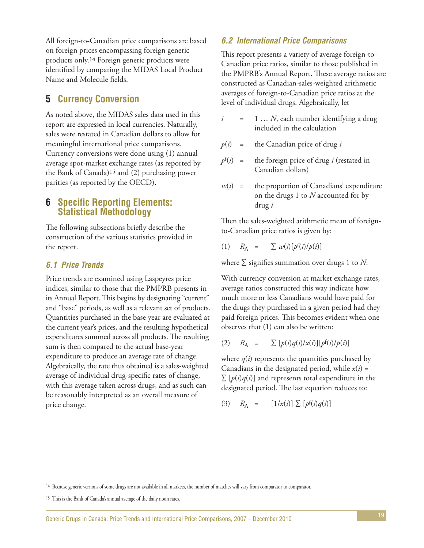All foreign-to-Canadian price comparisons are based on foreign prices encompassing foreign generic products only.14 Foreign generic products were identified by comparing the MIDAS Local Product Name and Molecule fields.

### **5 Currency Conversion**

As noted above, the MIDAS sales data used in this report are expressed in local currencies. Naturally, sales were restated in Canadian dollars to allow for meaningful international price comparisons. Currency conversions were done using (1) annual average spot-market exchange rates (as reported by the Bank of Canada)15 and (2) purchasing power parities (as reported by the OECD).

### **6 Specific Reporting Elements: Statistical Methodology**

The following subsections briefly describe the construction of the various statistics provided in the report.

#### **6.1 Price Trends**

Price trends are examined using Laspeyres price indices, similar to those that the PMPRB presents in its Annual Report. This begins by designating "current" and "base" periods, as well as a relevant set of products. Quantities purchased in the base year are evaluated at the current year's prices, and the resulting hypothetical expenditures summed across all products. The resulting sum is then compared to the actual base-year expenditure to produce an average rate of change. Algebraically, the rate thus obtained is a sales-weighted average of individual drug-specific rates of change, with this average taken across drugs, and as such can be reasonably interpreted as an overall measure of price change.

#### **6.2 International Price Comparisons**

This report presents a variety of average foreign-to-Canadian price ratios, similar to those published in the PMPRB's Annual Report. These average ratios are constructed as Canadian-sales-weighted arithmetic averages of foreign-to-Canadian price ratios at the level of individual drugs. Algebraically, let

- $i = 1 ... N$ , each number identifying a drug included in the calculation
- $p(i)$  = the Canadian price of drug *i*
- $p^f(i)$  = the foreign price of drug *i* (restated in Canadian dollars)
- $w(i)$  = the proportion of Canadians' expenditure on the drugs 1 to *N* accounted for by drug *i*

Then the sales-weighted arithmetic mean of foreignto-Canadian price ratios is given by:

$$
(1) \t R_A = \sum w(i) [p^f(i)/p(i)]
$$

where  $\Sigma$  signifies summation over drugs 1 to N.

With currency conversion at market exchange rates, average ratios constructed this way indicate how much more or less Canadians would have paid for the drugs they purchased in a given period had they paid foreign prices. This becomes evident when one observes that (1) can also be written:

 $R_A = \sum [p(i)q(i)/x(i)][p^f(i)/p(i)]$ 

where  $q(i)$  represents the quantities purchased by Canadians in the designated period, while  $x(i)$  =  $\sum$  [ $p(i)q(i)$ ] and represents total expenditure in the designated period. The last equation reduces to:

(3) 
$$
R_A = [1/x(i)] \sum [p^f(i)q(i)]
$$

15 This is the Bank of Canada's annual average of the daily noon rates.

<sup>14</sup> Because generic versions of some drugs are not available in all markets, the number of matches will vary from comparator to comparator.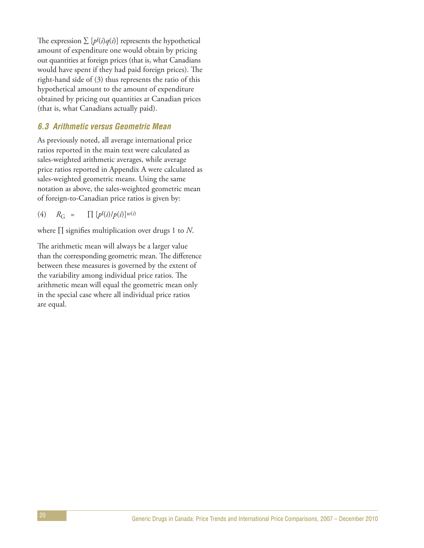The expression  $\sum [p^f(i)q(i)]$  represents the hypothetical amount of expenditure one would obtain by pricing out quantities at foreign prices (that is, what Canadians would have spent if they had paid foreign prices). The right-hand side of (3) thus represents the ratio of this hypothetical amount to the amount of expenditure obtained by pricing out quantities at Canadian prices (that is, what Canadians actually paid).

#### **6.3 Arithmetic versus Geometric Mean**

As previously noted, all average international price ratios reported in the main text were calculated as sales-weighted arithmetic averages, while average price ratios reported in Appendix A were calculated as sales-weighted geometric means. Using the same notation as above, the sales-weighted geometric mean of foreign-to-Canadian price ratios is given by:

 $(R_{G} = \prod [p^{f}(i)/p(i)]^{w(i)}$ 

where ∏ signifies multiplication over drugs 1 to *N*.

The arithmetic mean will always be a larger value than the corresponding geometric mean. The difference between these measures is governed by the extent of the variability among individual price ratios. The arithmetic mean will equal the geometric mean only in the special case where all individual price ratios are equal.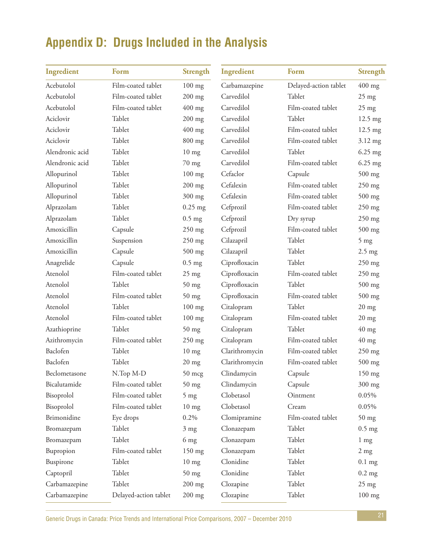# **Appendix D: Drugs Included in the Analysis**

| Ingredient      | Form                  | <b>Strength</b>  | Ingredient     | Form                  | <b>Strength</b>   |
|-----------------|-----------------------|------------------|----------------|-----------------------|-------------------|
| Acebutolol      | Film-coated tablet    | $100$ mg         | Carbamazepine  | Delayed-action tablet | $400$ mg          |
| Acebutolol      | Film-coated tablet    | $200$ mg         | Carvedilol     | Tablet                | $25 \text{ mg}$   |
| Acebutolol      | Film-coated tablet    | $400$ mg         | Carvedilol     | Film-coated tablet    | $25 \text{ mg}$   |
| Aciclovir       | Tablet                | $200$ mg         | Carvedilol     | Tablet                | $12.5 \text{ mg}$ |
| Aciclovir       | Tablet                | 400 mg           | Carvedilol     | Film-coated tablet    | 12.5 mg           |
| Aciclovir       | Tablet                | 800 mg           | Carvedilol     | Film-coated tablet    | 3.12 mg           |
| Alendronic acid | Tablet                | $10 \text{ mg}$  | Carvedilol     | Tablet                | $6.25$ mg         |
| Alendronic acid | Tablet                | $70$ mg          | Carvedilol     | Film-coated tablet    | $6.25$ mg         |
| Allopurinol     | Tablet                | $100$ mg         | Cefaclor       | Capsule               | $500$ mg          |
| Allopurinol     | Tablet                | $200$ mg         | Cefalexin      | Film-coated tablet    | 250 mg            |
| Allopurinol     | Tablet                | 300 mg           | Cefalexin      | Film-coated tablet    | 500 mg            |
| Alprazolam      | Tablet                | $0.25$ mg        | Cefprozil      | Film-coated tablet    | $250$ mg          |
| Alprazolam      | Tablet                | $0.5$ mg         | Cefprozil      | Dry syrup             | $250$ mg          |
| Amoxicillin     | Capsule               | $250$ mg         | Cefprozil      | Film-coated tablet    | $500$ mg          |
| Amoxicillin     | Suspension            | 250 mg           | Cilazapril     | Tablet                | $5 \text{ mg}$    |
| Amoxicillin     | Capsule               | $500$ mg         | Cilazapril     | Tablet                | $2.5$ mg          |
| Anagrelide      | Capsule               | $0.5$ mg         | Ciprofloxacin  | Tablet                | $250$ mg          |
| Atenolol        | Film-coated tablet    | $25 \text{ mg}$  | Ciprofloxacin  | Film-coated tablet    | $250$ mg          |
| Atenolol        | Tablet                | $50$ mg          | Ciprofloxacin  | Tablet                | $500$ mg          |
| Atenolol        | Film-coated tablet    | $50$ mg          | Ciprofloxacin  | Film-coated tablet    | 500 mg            |
| Atenolol        | Tablet                | $100$ mg         | Citalopram     | Tablet                | $20$ mg           |
| Atenolol        | Film-coated tablet    | $100$ mg         | Citalopram     | Film-coated tablet    | $20 \text{ mg}$   |
| Azathioprine    | Tablet                | $50$ mg          | Citalopram     | Tablet                | $40$ mg           |
| Azithromycin    | Film-coated tablet    | 250 mg           | Citalopram     | Film-coated tablet    | $40 \text{ mg}$   |
| Baclofen        | Tablet                | $10$ mg          | Clarithromycin | Film-coated tablet    | 250 mg            |
| Baclofen        | Tablet                | $20$ mg          | Clarithromycin | Film-coated tablet    | $500$ mg          |
| Beclometasone   | N.Top M-D             | $50 \text{ mcg}$ | Clindamycin    | Capsule               | $150$ mg          |
| Bicalutamide    | Film-coated tablet    | $50$ mg          | Clindamycin    | Capsule               | 300 mg            |
| Bisoprolol      | Film-coated tablet    | $5 \text{ mg}$   | Clobetasol     | Ointment              | 0.05%             |
| Bisoprolol      | Film-coated tablet    | $10$ mg          | Clobetasol     | Cream                 | 0.05%             |
| Brimonidine     | Eye drops             | 0.2%             | Clomipramine   | Film-coated tablet    | $50$ mg           |
| Bromazepam      | Tablet                | $3 \text{ mg}$   | Clonazepam     | Tablet                | $0.5$ mg          |
| Bromazepam      | Tablet                | 6 <sub>mg</sub>  | Clonazepam     | Tablet                | $1 \, mg$         |
| Bupropion       | Film-coated tablet    | 150 mg           | Clonazepam     | Tablet                | $2 \text{ mg}$    |
| Buspirone       | Tablet                | $10$ mg          | Clonidine      | Tablet                | $0.1$ mg          |
| Captopril       | Tablet                | $50$ mg          | Clonidine      | Tablet                | $0.2$ mg          |
| Carbamazepine   | Tablet                | $200$ mg         | Clozapine      | Tablet                | $25 \text{ mg}$   |
| Carbamazepine   | Delayed-action tablet | $200$ mg         | Clozapine      | Tablet                | $100$ mg          |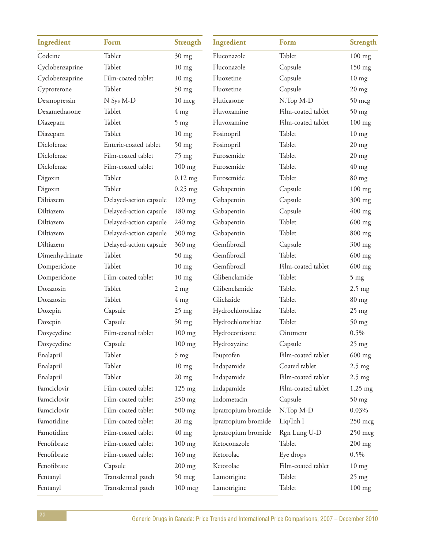| Ingredient      | <b>Form</b>            | <b>Strength</b>  | Ingredient          | Form               | <b>Strength</b>  |
|-----------------|------------------------|------------------|---------------------|--------------------|------------------|
| Codeine         | Tablet                 | $30$ mg          | Fluconazole         | Tablet             | $100$ mg         |
| Cyclobenzaprine | Tablet                 | $10$ mg          | Fluconazole         | Capsule            | $150$ mg         |
| Cyclobenzaprine | Film-coated tablet     | $10 \text{ mg}$  | Fluoxetine          | Capsule            | $10 \text{ mg}$  |
| Cyproterone     | Tablet                 | $50$ mg          | Fluoxetine          | Capsule            | $20 \text{ mg}$  |
| Desmopressin    | N Sys M-D              | $10 \text{ mcg}$ | Fluticasone         | N.Top M-D          | $50$ mcg         |
| Dexamethasone   | Tablet                 | $4 \text{ mg}$   | Fluvoxamine         | Film-coated tablet | $50$ mg          |
| Diazepam        | Tablet                 | $5 \text{ mg}$   | Fluvoxamine         | Film-coated tablet | $100$ mg         |
| Diazepam        | Tablet                 | $10$ mg          | Fosinopril          | Tablet             | $10 \text{ mg}$  |
| Diclofenac      | Enteric-coated tablet  | $50$ mg          | Fosinopril          | Tablet             | $20$ mg          |
| Diclofenac      | Film-coated tablet     | 75 mg            | Furosemide          | Tablet             | $20$ mg          |
| Diclofenac      | Film-coated tablet     | $100$ mg         | Furosemide          | Tablet             | $40$ mg          |
| Digoxin         | Tablet                 | $0.12$ mg        | Furosemide          | Tablet             | $80$ mg          |
| Digoxin         | Tablet                 | $0.25$ mg        | Gabapentin          | Capsule            | $100$ mg         |
| Diltiazem       | Delayed-action capsule | 120 mg           | Gabapentin          | Capsule            | 300 mg           |
| Diltiazem       | Delayed-action capsule | $180$ mg         | Gabapentin          | Capsule            | $400$ mg         |
| Diltiazem       | Delayed-action capsule | $240$ mg         | Gabapentin          | Tablet             | $600$ mg         |
| Diltiazem       | Delayed-action capsule | 300 mg           | Gabapentin          | Tablet             | 800 mg           |
| Diltiazem       | Delayed-action capsule | 360 mg           | Gemfibrozil         | Capsule            | 300 mg           |
| Dimenhydrinate  | Tablet                 | $50$ mg          | Gemfibrozil         | Tablet             | 600 mg           |
| Domperidone     | Tablet                 | $10$ mg          | Gemfibrozil         | Film-coated tablet | $600$ mg         |
| Domperidone     | Film-coated tablet     | $10$ mg          | Glibenclamide       | Tablet             | $5 \text{ mg}$   |
| Doxazosin       | Tablet                 | $2$ mg           | Glibenclamide       | Tablet             | $2.5 \text{ mg}$ |
| Doxazosin       | Tablet                 | $4 \text{ mg}$   | Gliclazide          | Tablet             | 80 mg            |
| Doxepin         | Capsule                | $25 \text{ mg}$  | Hydrochlorothiaz    | Tablet             | $25 \text{ mg}$  |
| Doxepin         | Capsule                | $50$ mg          | Hydrochlorothiaz    | Tablet             | $50$ mg          |
| Doxycycline     | Film-coated tablet     | 100 mg           | Hydrocortisone      | Ointment           | 0.5%             |
| Doxycycline     | Capsule                | $100$ mg         | Hydroxyzine         | Capsule            | $25$ mg          |
| Enalapril       | Tablet                 | $5$ mg           | Ibuprofen           | Film-coated tablet | $600$ mg         |
| Enalapril       | Tablet                 | $10 \text{ mg}$  | Indapamide          | Coated tablet      | $2.5$ mg         |
| Enalapril       | Tablet                 | $20$ mg          | Indapamide          | Film-coated tablet | $2.5 \text{ mg}$ |
| Famciclovir     | Film-coated tablet     | 125 mg           | Indapamide          | Film-coated tablet | $1.25$ mg        |
| Famciclovir     | Film-coated tablet     | 250 mg           | Indometacin         | Capsule            | $50$ mg          |
| Famciclovir     | Film-coated tablet     | 500 mg           | Ipratropium bromide | N.Top M-D          | 0.03%            |
| Famotidine      | Film-coated tablet     | $20$ mg          | Ipratropium bromide | Liq/Inh l          | 250 mcg          |
| Famotidine      | Film-coated tablet     | $40$ mg          | Ipratropium bromide | Rgn Lung U-D       | $250$ mcg        |
| Fenofibrate     | Film-coated tablet     | $100$ mg         | Ketoconazole        | Tablet             | $200$ mg         |
| Fenofibrate     | Film-coated tablet     | 160 mg           | Ketorolac           | Eye drops          | 0.5%             |
| Fenofibrate     | Capsule                | $200$ mg         | Ketorolac           | Film-coated tablet | $10 \text{ mg}$  |
| Fentanyl        | Transdermal patch      | $50 \text{ mcg}$ | Lamotrigine         | Tablet             | $25 \text{ mg}$  |
| Fentanyl        | Transdermal patch      | $100$ mcg        | Lamotrigine         | Tablet             | $100$ mg         |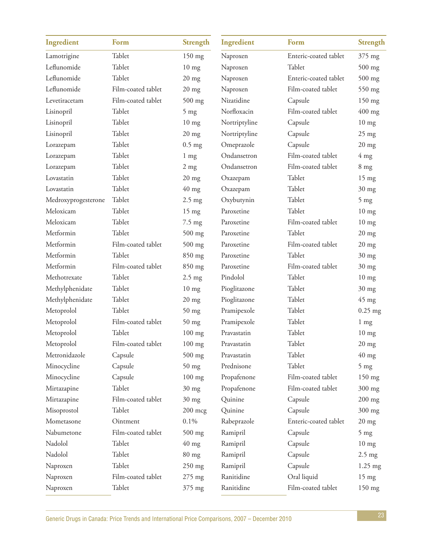| <b>Strength</b><br>Ingredient<br><b>Strength</b><br>Ingredient<br>Form<br>Form<br>Tablet<br>Lamotrigine<br>$150$ mg<br>Naproxen<br>Enteric-coated tablet<br>375 mg<br>Leflunomide<br>Tablet<br>Tablet<br>$10$ mg<br>Naproxen<br>$500$ mg<br>Leflunomide<br>Tablet<br>Enteric-coated tablet<br>$20$ mg<br>Naproxen<br>$500$ mg<br>Leflunomide<br>Film-coated tablet<br>Film-coated tablet<br>Naproxen<br>550 mg<br>$20$ mg<br>Nizatidine<br>Levetiracetam<br>Film-coated tablet<br>500 mg<br>Capsule<br>$150$ mg<br>Tablet<br>Norfloxacin<br>Film-coated tablet<br>Lisinopril<br>$5$ mg<br>$400$ mg<br>Tablet<br>Nortriptyline<br>Lisinopril<br>Capsule<br>$10 \text{ mg}$<br>$10 \text{ mg}$<br>Tablet<br>Lisinopril<br>Nortriptyline<br>Capsule<br>$20$ mg<br>$25$ mg<br>Tablet<br>Omeprazole<br>Capsule<br>$0.5$ mg<br>$20$ mg<br>Lorazepam<br>Tablet<br>Ondansetron<br>Film-coated tablet<br>Lorazepam<br>$4 \text{ mg}$<br>$1 \text{ mg}$<br>Tablet<br>Ondansetron<br>Film-coated tablet<br>Lorazepam<br>$2$ mg<br>8 <sub>mg</sub><br>Tablet<br>Tablet<br>Lovastatin<br>$20 \text{ mg}$<br>Oxazepam<br>$15 \text{ mg}$<br>Tablet<br>Tablet<br>Lovastatin<br>$40$ mg<br>Oxazepam<br>$30$ mg<br>Tablet<br>Tablet<br>Medroxyprogesterone<br>$2.5$ mg<br>Oxybutynin<br>$5 \text{ mg}$<br>Tablet<br>Tablet<br>Meloxicam<br>Paroxetine<br>$15 \text{ mg}$<br>$10 \text{ mg}$<br>Tablet<br>Meloxicam<br>$7.5 \text{ mg}$<br>Paroxetine<br>Film-coated tablet<br>$10 \text{ mg}$<br>Metformin<br>Tablet<br>Paroxetine<br>Tablet<br>500 mg<br>$20$ mg<br>Metformin<br>Film-coated tablet<br>Paroxetine<br>Film-coated tablet<br>$500$ mg<br>$20$ mg<br>Metformin<br>Tablet<br>Tablet<br>850 mg<br>Paroxetine<br>$30$ mg<br>Metformin<br>Film-coated tablet<br>Paroxetine<br>Film-coated tablet<br>850 mg<br>$30$ mg<br>Tablet<br>Pindolol<br>Tablet<br>Methotrexate<br>$2.5$ mg<br>$10$ mg<br>Tablet<br>Tablet<br>Methylphenidate<br>Pioglitazone<br>$30$ mg<br>$10 \text{ mg}$<br>Tablet<br>Tablet<br>Methylphenidate<br>Pioglitazone<br>$20$ mg<br>$45 \text{ mg}$<br>Tablet<br>Tablet<br>Metoprolol<br>Pramipexole<br>$50$ mg<br>$0.25$ mg<br>Tablet<br>Metoprolol<br>Film-coated tablet<br>Pramipexole<br>$50$ mg<br>$1 \text{ mg}$<br>Tablet<br>Metoprolol<br>Tablet<br>Pravastatin<br>$100$ mg<br>$10$ mg<br>Film-coated tablet<br>Tablet<br>Metoprolol<br>Pravastatin<br>$20$ mg<br>$100$ mg<br>Metronidazole<br>Tablet<br>$40$ mg<br>Capsule<br>500 mg<br>Pravastatin<br>Prednisone<br>Tablet<br>Minocycline<br>Capsule<br>$50$ mg<br>$5 \text{ mg}$<br>Propafenone<br>Film-coated tablet<br>Minocycline<br>Capsule<br>$100$ mg<br>$150$ mg<br>Tablet<br>Propafenone<br>Mirtazapine<br>Film-coated tablet<br>$30$ mg<br>300 mg<br>Mirtazapine<br>Film-coated tablet<br>Quinine<br>Capsule<br>$30$ mg<br>$200$ mg<br>Tablet<br>Misoprostol<br>Quinine<br>Capsule<br>$200$ mcg<br>300 mg<br>0.1%<br>Rabeprazole<br>Enteric-coated tablet<br>Mometasone<br>Ointment<br>$20$ mg<br>Film-coated tablet<br>Ramipril<br>Nabumetone<br>$500$ mg<br>Capsule<br>$5 \text{ mg}$<br>Nadolol<br>Tablet<br>Ramipril<br>Capsule<br>$40 \text{ mg}$<br>$10 \text{ mg}$<br>Nadolol<br>Tablet<br>Ramipril<br>Capsule<br>$80$ mg<br>$2.5 \text{ mg}$<br>Tablet<br>Ramipril<br>Capsule<br>Naproxen<br>250 mg<br>$1.25$ mg |          |                    |        |            |             |                 |
|----------------------------------------------------------------------------------------------------------------------------------------------------------------------------------------------------------------------------------------------------------------------------------------------------------------------------------------------------------------------------------------------------------------------------------------------------------------------------------------------------------------------------------------------------------------------------------------------------------------------------------------------------------------------------------------------------------------------------------------------------------------------------------------------------------------------------------------------------------------------------------------------------------------------------------------------------------------------------------------------------------------------------------------------------------------------------------------------------------------------------------------------------------------------------------------------------------------------------------------------------------------------------------------------------------------------------------------------------------------------------------------------------------------------------------------------------------------------------------------------------------------------------------------------------------------------------------------------------------------------------------------------------------------------------------------------------------------------------------------------------------------------------------------------------------------------------------------------------------------------------------------------------------------------------------------------------------------------------------------------------------------------------------------------------------------------------------------------------------------------------------------------------------------------------------------------------------------------------------------------------------------------------------------------------------------------------------------------------------------------------------------------------------------------------------------------------------------------------------------------------------------------------------------------------------------------------------------------------------------------------------------------------------------------------------------------------------------------------------------------------------------------------------------------------------------------------------------------------------------------------------------------------------------------------------------------------------------------------------------------------------------------------------------------------------------------------------------------------------------------------------------------------------------------------------------------------------------------------------------------------------------------------------------------------------|----------|--------------------|--------|------------|-------------|-----------------|
|                                                                                                                                                                                                                                                                                                                                                                                                                                                                                                                                                                                                                                                                                                                                                                                                                                                                                                                                                                                                                                                                                                                                                                                                                                                                                                                                                                                                                                                                                                                                                                                                                                                                                                                                                                                                                                                                                                                                                                                                                                                                                                                                                                                                                                                                                                                                                                                                                                                                                                                                                                                                                                                                                                                                                                                                                                                                                                                                                                                                                                                                                                                                                                                                                                                                                                          |          |                    |        |            |             |                 |
|                                                                                                                                                                                                                                                                                                                                                                                                                                                                                                                                                                                                                                                                                                                                                                                                                                                                                                                                                                                                                                                                                                                                                                                                                                                                                                                                                                                                                                                                                                                                                                                                                                                                                                                                                                                                                                                                                                                                                                                                                                                                                                                                                                                                                                                                                                                                                                                                                                                                                                                                                                                                                                                                                                                                                                                                                                                                                                                                                                                                                                                                                                                                                                                                                                                                                                          |          |                    |        |            |             |                 |
|                                                                                                                                                                                                                                                                                                                                                                                                                                                                                                                                                                                                                                                                                                                                                                                                                                                                                                                                                                                                                                                                                                                                                                                                                                                                                                                                                                                                                                                                                                                                                                                                                                                                                                                                                                                                                                                                                                                                                                                                                                                                                                                                                                                                                                                                                                                                                                                                                                                                                                                                                                                                                                                                                                                                                                                                                                                                                                                                                                                                                                                                                                                                                                                                                                                                                                          |          |                    |        |            |             |                 |
|                                                                                                                                                                                                                                                                                                                                                                                                                                                                                                                                                                                                                                                                                                                                                                                                                                                                                                                                                                                                                                                                                                                                                                                                                                                                                                                                                                                                                                                                                                                                                                                                                                                                                                                                                                                                                                                                                                                                                                                                                                                                                                                                                                                                                                                                                                                                                                                                                                                                                                                                                                                                                                                                                                                                                                                                                                                                                                                                                                                                                                                                                                                                                                                                                                                                                                          |          |                    |        |            |             |                 |
|                                                                                                                                                                                                                                                                                                                                                                                                                                                                                                                                                                                                                                                                                                                                                                                                                                                                                                                                                                                                                                                                                                                                                                                                                                                                                                                                                                                                                                                                                                                                                                                                                                                                                                                                                                                                                                                                                                                                                                                                                                                                                                                                                                                                                                                                                                                                                                                                                                                                                                                                                                                                                                                                                                                                                                                                                                                                                                                                                                                                                                                                                                                                                                                                                                                                                                          |          |                    |        |            |             |                 |
|                                                                                                                                                                                                                                                                                                                                                                                                                                                                                                                                                                                                                                                                                                                                                                                                                                                                                                                                                                                                                                                                                                                                                                                                                                                                                                                                                                                                                                                                                                                                                                                                                                                                                                                                                                                                                                                                                                                                                                                                                                                                                                                                                                                                                                                                                                                                                                                                                                                                                                                                                                                                                                                                                                                                                                                                                                                                                                                                                                                                                                                                                                                                                                                                                                                                                                          |          |                    |        |            |             |                 |
|                                                                                                                                                                                                                                                                                                                                                                                                                                                                                                                                                                                                                                                                                                                                                                                                                                                                                                                                                                                                                                                                                                                                                                                                                                                                                                                                                                                                                                                                                                                                                                                                                                                                                                                                                                                                                                                                                                                                                                                                                                                                                                                                                                                                                                                                                                                                                                                                                                                                                                                                                                                                                                                                                                                                                                                                                                                                                                                                                                                                                                                                                                                                                                                                                                                                                                          |          |                    |        |            |             |                 |
|                                                                                                                                                                                                                                                                                                                                                                                                                                                                                                                                                                                                                                                                                                                                                                                                                                                                                                                                                                                                                                                                                                                                                                                                                                                                                                                                                                                                                                                                                                                                                                                                                                                                                                                                                                                                                                                                                                                                                                                                                                                                                                                                                                                                                                                                                                                                                                                                                                                                                                                                                                                                                                                                                                                                                                                                                                                                                                                                                                                                                                                                                                                                                                                                                                                                                                          |          |                    |        |            |             |                 |
|                                                                                                                                                                                                                                                                                                                                                                                                                                                                                                                                                                                                                                                                                                                                                                                                                                                                                                                                                                                                                                                                                                                                                                                                                                                                                                                                                                                                                                                                                                                                                                                                                                                                                                                                                                                                                                                                                                                                                                                                                                                                                                                                                                                                                                                                                                                                                                                                                                                                                                                                                                                                                                                                                                                                                                                                                                                                                                                                                                                                                                                                                                                                                                                                                                                                                                          |          |                    |        |            |             |                 |
|                                                                                                                                                                                                                                                                                                                                                                                                                                                                                                                                                                                                                                                                                                                                                                                                                                                                                                                                                                                                                                                                                                                                                                                                                                                                                                                                                                                                                                                                                                                                                                                                                                                                                                                                                                                                                                                                                                                                                                                                                                                                                                                                                                                                                                                                                                                                                                                                                                                                                                                                                                                                                                                                                                                                                                                                                                                                                                                                                                                                                                                                                                                                                                                                                                                                                                          |          |                    |        |            |             |                 |
|                                                                                                                                                                                                                                                                                                                                                                                                                                                                                                                                                                                                                                                                                                                                                                                                                                                                                                                                                                                                                                                                                                                                                                                                                                                                                                                                                                                                                                                                                                                                                                                                                                                                                                                                                                                                                                                                                                                                                                                                                                                                                                                                                                                                                                                                                                                                                                                                                                                                                                                                                                                                                                                                                                                                                                                                                                                                                                                                                                                                                                                                                                                                                                                                                                                                                                          |          |                    |        |            |             |                 |
|                                                                                                                                                                                                                                                                                                                                                                                                                                                                                                                                                                                                                                                                                                                                                                                                                                                                                                                                                                                                                                                                                                                                                                                                                                                                                                                                                                                                                                                                                                                                                                                                                                                                                                                                                                                                                                                                                                                                                                                                                                                                                                                                                                                                                                                                                                                                                                                                                                                                                                                                                                                                                                                                                                                                                                                                                                                                                                                                                                                                                                                                                                                                                                                                                                                                                                          |          |                    |        |            |             |                 |
|                                                                                                                                                                                                                                                                                                                                                                                                                                                                                                                                                                                                                                                                                                                                                                                                                                                                                                                                                                                                                                                                                                                                                                                                                                                                                                                                                                                                                                                                                                                                                                                                                                                                                                                                                                                                                                                                                                                                                                                                                                                                                                                                                                                                                                                                                                                                                                                                                                                                                                                                                                                                                                                                                                                                                                                                                                                                                                                                                                                                                                                                                                                                                                                                                                                                                                          |          |                    |        |            |             |                 |
|                                                                                                                                                                                                                                                                                                                                                                                                                                                                                                                                                                                                                                                                                                                                                                                                                                                                                                                                                                                                                                                                                                                                                                                                                                                                                                                                                                                                                                                                                                                                                                                                                                                                                                                                                                                                                                                                                                                                                                                                                                                                                                                                                                                                                                                                                                                                                                                                                                                                                                                                                                                                                                                                                                                                                                                                                                                                                                                                                                                                                                                                                                                                                                                                                                                                                                          |          |                    |        |            |             |                 |
|                                                                                                                                                                                                                                                                                                                                                                                                                                                                                                                                                                                                                                                                                                                                                                                                                                                                                                                                                                                                                                                                                                                                                                                                                                                                                                                                                                                                                                                                                                                                                                                                                                                                                                                                                                                                                                                                                                                                                                                                                                                                                                                                                                                                                                                                                                                                                                                                                                                                                                                                                                                                                                                                                                                                                                                                                                                                                                                                                                                                                                                                                                                                                                                                                                                                                                          |          |                    |        |            |             |                 |
|                                                                                                                                                                                                                                                                                                                                                                                                                                                                                                                                                                                                                                                                                                                                                                                                                                                                                                                                                                                                                                                                                                                                                                                                                                                                                                                                                                                                                                                                                                                                                                                                                                                                                                                                                                                                                                                                                                                                                                                                                                                                                                                                                                                                                                                                                                                                                                                                                                                                                                                                                                                                                                                                                                                                                                                                                                                                                                                                                                                                                                                                                                                                                                                                                                                                                                          |          |                    |        |            |             |                 |
|                                                                                                                                                                                                                                                                                                                                                                                                                                                                                                                                                                                                                                                                                                                                                                                                                                                                                                                                                                                                                                                                                                                                                                                                                                                                                                                                                                                                                                                                                                                                                                                                                                                                                                                                                                                                                                                                                                                                                                                                                                                                                                                                                                                                                                                                                                                                                                                                                                                                                                                                                                                                                                                                                                                                                                                                                                                                                                                                                                                                                                                                                                                                                                                                                                                                                                          |          |                    |        |            |             |                 |
|                                                                                                                                                                                                                                                                                                                                                                                                                                                                                                                                                                                                                                                                                                                                                                                                                                                                                                                                                                                                                                                                                                                                                                                                                                                                                                                                                                                                                                                                                                                                                                                                                                                                                                                                                                                                                                                                                                                                                                                                                                                                                                                                                                                                                                                                                                                                                                                                                                                                                                                                                                                                                                                                                                                                                                                                                                                                                                                                                                                                                                                                                                                                                                                                                                                                                                          |          |                    |        |            |             |                 |
|                                                                                                                                                                                                                                                                                                                                                                                                                                                                                                                                                                                                                                                                                                                                                                                                                                                                                                                                                                                                                                                                                                                                                                                                                                                                                                                                                                                                                                                                                                                                                                                                                                                                                                                                                                                                                                                                                                                                                                                                                                                                                                                                                                                                                                                                                                                                                                                                                                                                                                                                                                                                                                                                                                                                                                                                                                                                                                                                                                                                                                                                                                                                                                                                                                                                                                          |          |                    |        |            |             |                 |
|                                                                                                                                                                                                                                                                                                                                                                                                                                                                                                                                                                                                                                                                                                                                                                                                                                                                                                                                                                                                                                                                                                                                                                                                                                                                                                                                                                                                                                                                                                                                                                                                                                                                                                                                                                                                                                                                                                                                                                                                                                                                                                                                                                                                                                                                                                                                                                                                                                                                                                                                                                                                                                                                                                                                                                                                                                                                                                                                                                                                                                                                                                                                                                                                                                                                                                          |          |                    |        |            |             |                 |
|                                                                                                                                                                                                                                                                                                                                                                                                                                                                                                                                                                                                                                                                                                                                                                                                                                                                                                                                                                                                                                                                                                                                                                                                                                                                                                                                                                                                                                                                                                                                                                                                                                                                                                                                                                                                                                                                                                                                                                                                                                                                                                                                                                                                                                                                                                                                                                                                                                                                                                                                                                                                                                                                                                                                                                                                                                                                                                                                                                                                                                                                                                                                                                                                                                                                                                          |          |                    |        |            |             |                 |
|                                                                                                                                                                                                                                                                                                                                                                                                                                                                                                                                                                                                                                                                                                                                                                                                                                                                                                                                                                                                                                                                                                                                                                                                                                                                                                                                                                                                                                                                                                                                                                                                                                                                                                                                                                                                                                                                                                                                                                                                                                                                                                                                                                                                                                                                                                                                                                                                                                                                                                                                                                                                                                                                                                                                                                                                                                                                                                                                                                                                                                                                                                                                                                                                                                                                                                          |          |                    |        |            |             |                 |
|                                                                                                                                                                                                                                                                                                                                                                                                                                                                                                                                                                                                                                                                                                                                                                                                                                                                                                                                                                                                                                                                                                                                                                                                                                                                                                                                                                                                                                                                                                                                                                                                                                                                                                                                                                                                                                                                                                                                                                                                                                                                                                                                                                                                                                                                                                                                                                                                                                                                                                                                                                                                                                                                                                                                                                                                                                                                                                                                                                                                                                                                                                                                                                                                                                                                                                          |          |                    |        |            |             |                 |
|                                                                                                                                                                                                                                                                                                                                                                                                                                                                                                                                                                                                                                                                                                                                                                                                                                                                                                                                                                                                                                                                                                                                                                                                                                                                                                                                                                                                                                                                                                                                                                                                                                                                                                                                                                                                                                                                                                                                                                                                                                                                                                                                                                                                                                                                                                                                                                                                                                                                                                                                                                                                                                                                                                                                                                                                                                                                                                                                                                                                                                                                                                                                                                                                                                                                                                          |          |                    |        |            |             |                 |
|                                                                                                                                                                                                                                                                                                                                                                                                                                                                                                                                                                                                                                                                                                                                                                                                                                                                                                                                                                                                                                                                                                                                                                                                                                                                                                                                                                                                                                                                                                                                                                                                                                                                                                                                                                                                                                                                                                                                                                                                                                                                                                                                                                                                                                                                                                                                                                                                                                                                                                                                                                                                                                                                                                                                                                                                                                                                                                                                                                                                                                                                                                                                                                                                                                                                                                          |          |                    |        |            |             |                 |
|                                                                                                                                                                                                                                                                                                                                                                                                                                                                                                                                                                                                                                                                                                                                                                                                                                                                                                                                                                                                                                                                                                                                                                                                                                                                                                                                                                                                                                                                                                                                                                                                                                                                                                                                                                                                                                                                                                                                                                                                                                                                                                                                                                                                                                                                                                                                                                                                                                                                                                                                                                                                                                                                                                                                                                                                                                                                                                                                                                                                                                                                                                                                                                                                                                                                                                          |          |                    |        |            |             |                 |
|                                                                                                                                                                                                                                                                                                                                                                                                                                                                                                                                                                                                                                                                                                                                                                                                                                                                                                                                                                                                                                                                                                                                                                                                                                                                                                                                                                                                                                                                                                                                                                                                                                                                                                                                                                                                                                                                                                                                                                                                                                                                                                                                                                                                                                                                                                                                                                                                                                                                                                                                                                                                                                                                                                                                                                                                                                                                                                                                                                                                                                                                                                                                                                                                                                                                                                          |          |                    |        |            |             |                 |
|                                                                                                                                                                                                                                                                                                                                                                                                                                                                                                                                                                                                                                                                                                                                                                                                                                                                                                                                                                                                                                                                                                                                                                                                                                                                                                                                                                                                                                                                                                                                                                                                                                                                                                                                                                                                                                                                                                                                                                                                                                                                                                                                                                                                                                                                                                                                                                                                                                                                                                                                                                                                                                                                                                                                                                                                                                                                                                                                                                                                                                                                                                                                                                                                                                                                                                          |          |                    |        |            |             |                 |
|                                                                                                                                                                                                                                                                                                                                                                                                                                                                                                                                                                                                                                                                                                                                                                                                                                                                                                                                                                                                                                                                                                                                                                                                                                                                                                                                                                                                                                                                                                                                                                                                                                                                                                                                                                                                                                                                                                                                                                                                                                                                                                                                                                                                                                                                                                                                                                                                                                                                                                                                                                                                                                                                                                                                                                                                                                                                                                                                                                                                                                                                                                                                                                                                                                                                                                          |          |                    |        |            |             |                 |
|                                                                                                                                                                                                                                                                                                                                                                                                                                                                                                                                                                                                                                                                                                                                                                                                                                                                                                                                                                                                                                                                                                                                                                                                                                                                                                                                                                                                                                                                                                                                                                                                                                                                                                                                                                                                                                                                                                                                                                                                                                                                                                                                                                                                                                                                                                                                                                                                                                                                                                                                                                                                                                                                                                                                                                                                                                                                                                                                                                                                                                                                                                                                                                                                                                                                                                          |          |                    |        |            |             |                 |
|                                                                                                                                                                                                                                                                                                                                                                                                                                                                                                                                                                                                                                                                                                                                                                                                                                                                                                                                                                                                                                                                                                                                                                                                                                                                                                                                                                                                                                                                                                                                                                                                                                                                                                                                                                                                                                                                                                                                                                                                                                                                                                                                                                                                                                                                                                                                                                                                                                                                                                                                                                                                                                                                                                                                                                                                                                                                                                                                                                                                                                                                                                                                                                                                                                                                                                          |          |                    |        |            |             |                 |
|                                                                                                                                                                                                                                                                                                                                                                                                                                                                                                                                                                                                                                                                                                                                                                                                                                                                                                                                                                                                                                                                                                                                                                                                                                                                                                                                                                                                                                                                                                                                                                                                                                                                                                                                                                                                                                                                                                                                                                                                                                                                                                                                                                                                                                                                                                                                                                                                                                                                                                                                                                                                                                                                                                                                                                                                                                                                                                                                                                                                                                                                                                                                                                                                                                                                                                          |          |                    |        |            |             |                 |
|                                                                                                                                                                                                                                                                                                                                                                                                                                                                                                                                                                                                                                                                                                                                                                                                                                                                                                                                                                                                                                                                                                                                                                                                                                                                                                                                                                                                                                                                                                                                                                                                                                                                                                                                                                                                                                                                                                                                                                                                                                                                                                                                                                                                                                                                                                                                                                                                                                                                                                                                                                                                                                                                                                                                                                                                                                                                                                                                                                                                                                                                                                                                                                                                                                                                                                          |          |                    |        |            |             |                 |
|                                                                                                                                                                                                                                                                                                                                                                                                                                                                                                                                                                                                                                                                                                                                                                                                                                                                                                                                                                                                                                                                                                                                                                                                                                                                                                                                                                                                                                                                                                                                                                                                                                                                                                                                                                                                                                                                                                                                                                                                                                                                                                                                                                                                                                                                                                                                                                                                                                                                                                                                                                                                                                                                                                                                                                                                                                                                                                                                                                                                                                                                                                                                                                                                                                                                                                          |          |                    |        |            |             |                 |
|                                                                                                                                                                                                                                                                                                                                                                                                                                                                                                                                                                                                                                                                                                                                                                                                                                                                                                                                                                                                                                                                                                                                                                                                                                                                                                                                                                                                                                                                                                                                                                                                                                                                                                                                                                                                                                                                                                                                                                                                                                                                                                                                                                                                                                                                                                                                                                                                                                                                                                                                                                                                                                                                                                                                                                                                                                                                                                                                                                                                                                                                                                                                                                                                                                                                                                          |          |                    |        |            |             |                 |
|                                                                                                                                                                                                                                                                                                                                                                                                                                                                                                                                                                                                                                                                                                                                                                                                                                                                                                                                                                                                                                                                                                                                                                                                                                                                                                                                                                                                                                                                                                                                                                                                                                                                                                                                                                                                                                                                                                                                                                                                                                                                                                                                                                                                                                                                                                                                                                                                                                                                                                                                                                                                                                                                                                                                                                                                                                                                                                                                                                                                                                                                                                                                                                                                                                                                                                          |          |                    |        |            |             |                 |
|                                                                                                                                                                                                                                                                                                                                                                                                                                                                                                                                                                                                                                                                                                                                                                                                                                                                                                                                                                                                                                                                                                                                                                                                                                                                                                                                                                                                                                                                                                                                                                                                                                                                                                                                                                                                                                                                                                                                                                                                                                                                                                                                                                                                                                                                                                                                                                                                                                                                                                                                                                                                                                                                                                                                                                                                                                                                                                                                                                                                                                                                                                                                                                                                                                                                                                          |          |                    |        |            |             |                 |
|                                                                                                                                                                                                                                                                                                                                                                                                                                                                                                                                                                                                                                                                                                                                                                                                                                                                                                                                                                                                                                                                                                                                                                                                                                                                                                                                                                                                                                                                                                                                                                                                                                                                                                                                                                                                                                                                                                                                                                                                                                                                                                                                                                                                                                                                                                                                                                                                                                                                                                                                                                                                                                                                                                                                                                                                                                                                                                                                                                                                                                                                                                                                                                                                                                                                                                          |          |                    |        |            |             |                 |
|                                                                                                                                                                                                                                                                                                                                                                                                                                                                                                                                                                                                                                                                                                                                                                                                                                                                                                                                                                                                                                                                                                                                                                                                                                                                                                                                                                                                                                                                                                                                                                                                                                                                                                                                                                                                                                                                                                                                                                                                                                                                                                                                                                                                                                                                                                                                                                                                                                                                                                                                                                                                                                                                                                                                                                                                                                                                                                                                                                                                                                                                                                                                                                                                                                                                                                          |          |                    |        |            |             |                 |
|                                                                                                                                                                                                                                                                                                                                                                                                                                                                                                                                                                                                                                                                                                                                                                                                                                                                                                                                                                                                                                                                                                                                                                                                                                                                                                                                                                                                                                                                                                                                                                                                                                                                                                                                                                                                                                                                                                                                                                                                                                                                                                                                                                                                                                                                                                                                                                                                                                                                                                                                                                                                                                                                                                                                                                                                                                                                                                                                                                                                                                                                                                                                                                                                                                                                                                          | Naproxen | Film-coated tablet | 275 mg | Ranitidine | Oral liquid | $15 \text{ mg}$ |
| Tablet<br>Ranitidine<br>Naproxen<br>375 mg<br>Film-coated tablet<br>150 mg                                                                                                                                                                                                                                                                                                                                                                                                                                                                                                                                                                                                                                                                                                                                                                                                                                                                                                                                                                                                                                                                                                                                                                                                                                                                                                                                                                                                                                                                                                                                                                                                                                                                                                                                                                                                                                                                                                                                                                                                                                                                                                                                                                                                                                                                                                                                                                                                                                                                                                                                                                                                                                                                                                                                                                                                                                                                                                                                                                                                                                                                                                                                                                                                                               |          |                    |        |            |             |                 |